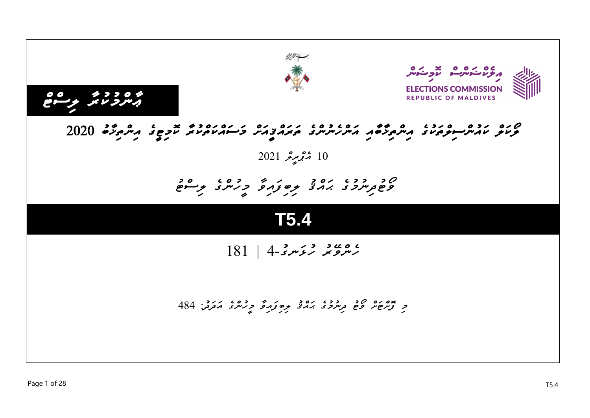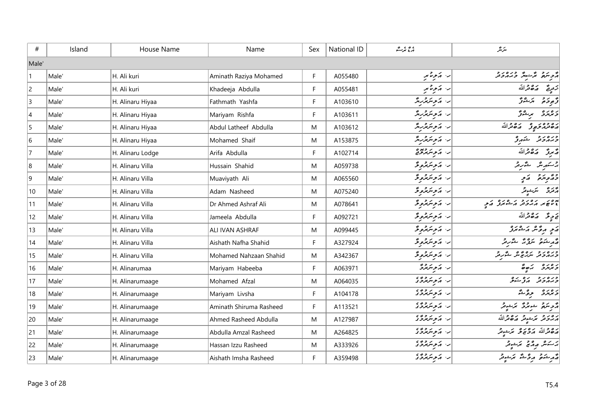| #               | Island | House Name       | Name                    | Sex | National ID | ، ه ، بر <u>م</u> | ىئرىتر                               |
|-----------------|--------|------------------|-------------------------|-----|-------------|-------------------|--------------------------------------|
| Male'           |        |                  |                         |     |             |                   |                                      |
|                 | Male'  | H. Ali kuri      | Aminath Raziya Mohamed  | F   | A055480     | ر بە ئەرەبىر      | הכיתה הייות כמחכת                    |
| $\overline{2}$  | Male'  | H. Ali kuri      | Khadeeja Abdulla        | F   | A055481     | ر، مأجه تأمير     | تزميدة كانقالته                      |
| $\vert$ 3       | Male'  | H. Alinaru Hiyaa | Fathmath Yashfa         | F   | A103610     | ر. ئەبرىترىزلىر   | ۇي <sub>م</sub> وڭ مەشر              |
| $\vert 4$       | Male'  | H. Alinaru Hiyaa | Mariyam Rishfa          | F   | A103611     | را مأثو مكر تر مر | و دره مرشوش                          |
| $\overline{5}$  | Male'  | H. Alinaru Hiyaa | Abdul Latheef Abdulla   | M   | A103612     | را مأثر مكركر مر  | بره وه عربه و بر الله                |
| $6\overline{6}$ | Male'  | H. Alinaru Hiyaa | Mohamed Shaif           | M   | A153875     | را مأثر مكركر مر  | ورەر ئەر                             |
| $\overline{7}$  | Male'  | H. Alinaru Lodge | Arifa Abdulla           | F   | A102714     | ر . كەنبە ئەبرىدە | صحرق صكائلة                          |
| 8               | Male'  | H. Alinaru Villa | Hussain Shahid          | M   | A059738     | را مأثر مكرتمونژ  | يز سەر شەر ئىشرىتر                   |
| 9               | Male'  | H. Alinaru Villa | Muaviyath Ali           | M   | A065560     | را مأد مكرمركو گ  |                                      |
| 10              | Male'  | H. Alinaru Villa | Adam Nasheed            | M   | A075240     | ر. مۇمەتترىرى     | أثر ترشونر                           |
| 11              | Male'  | H. Alinaru Villa | Dr Ahmed Ashraf Ali     | M   | A078641     | ر . مەمەسىر چوڭ   |                                      |
| 12              | Male'  | H. Alinaru Villa | Jameela Abdulla         | F   | A092721     | ر بە ئەسىر ئەرە   | قح تحريح في مركز تعديد الله          |
| 13              | Male'  | H. Alinaru Villa | <b>ALI IVAN ASHRAF</b>  | M   | A099445     | را مأو يتربره و څ | ړې <sub>م</sub> وګر <sub>مشمرو</sub> |
| 14              | Male'  | H. Alinaru Villa | Aishath Nafha Shahid    | F   | A327924     | را مۇمەتكىرى ئى   | و در د ده و شرور<br>درخوم سرور خرم   |
| 15              | Male'  | H. Alinaru Villa | Mohamed Nahzaan Shahid  | M   | A342367     | ر بە ئەسىر ئەرە   | ورەرو رەپۇر ئەرگە                    |
| 16              | Male'  | H. Alinarumaa    | Mariyam Habeeba         | F   | A063971     | ر، مەجەنىڭدە      | وبروره برَحة                         |
| 17              | Male'  | H. Alinarumaage  | Mohamed Afzal           | M   | A064035     |                   | ورەر دەردە                           |
| 18              | Male'  | H. Alinarumaage  | Mariyam Livsha          | F   | A104178     | ر . مأج مكرود ي   | ويرور وهشه                           |
| 19              | Male'  | H. Alinarumaage  | Aminath Shiruma Rasheed | F   | A113521     | ر . مأج مكرود ي   | أأوسم شرمرة الرشوش                   |
| 20              | Male'  | H. Alinarumaage  | Ahmed Rasheed Abdulla   | M   | A127987     | ر . مأو پیگروی    | بره برو برجونر بردورالله             |
| 21              | Male'  | H. Alinarumaage  | Abdulla Amzal Rasheed   | M   | A264825     | ر . مأو پیگروی    | رە داللە كەن كە ئىر مۇمۇم            |
| 22              | Male'  | H. Alinarumaage  | Hassan Izzu Rasheed     | M   | A333926     | ر به تر پر پروی   | أيرسكش وروح أيرشوش                   |
| 23              | Male'  | H. Alinarumaage  | Aishath Imsha Rasheed   | F   | A359498     | ر. مۇمەترىرى      | ۇرىشق رۇڭ ئرىش                       |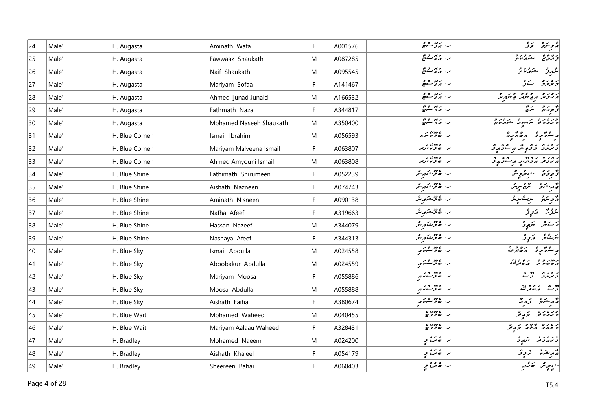| 24           | Male' | H. Augasta     | Aminath Wafa            | F         | A001576 | ر، كەبىر ق                            | أأترسم وتر                                   |
|--------------|-------|----------------|-------------------------|-----------|---------|---------------------------------------|----------------------------------------------|
| 25           | Male' | H. Augasta     | Fawwaaz Shaukath        | M         | A087285 | ر، كەبىر ق                            | ر ه و ه<br>و د تر م<br>پر 12 ر 1<br>شهر ما ه |
| 26           | Male' | H. Augasta     | Naif Shaukath           | M         | A095545 | ر، كەن ھۇ                             | لشمرقر تخدمتمو                               |
| 27           | Male' | H. Augasta     | Mariyam Sofaa           | F         | A141467 | ر. كەبىر ق                            | د ۵ ره د پرو                                 |
| 28           | Male' | H. Augasta     | Ahmed Ijunad Junaid     | M         | A166532 | ر. كەبىر ق                            | أبرور والمتعجم والمتمر                       |
| 29           | Male' | H. Augasta     | Fathmath Naza           | F         | A344817 | ر. كەبىر ق                            | وَّجوحه مَرَجَّ                              |
| 30           | Male' | H. Augasta     | Mohamed Naseeh Shaukath | M         | A350400 | ر. كەبىر ق                            | ورەرو كرىيە ئەدىرو                           |
| 31           | Male' | H. Blue Corner | Ismail Ibrahim          | ${\sf M}$ | A056593 | ه دوم تربر<br>ر• ن <i>خ</i> ونم تتربر | ر عۇرپۇ رەتمرى                               |
| 32           | Male' | H. Blue Corner | Mariyam Malveena Ismail | F         | A063807 | ر. ۔ 2009 برپر                        | د ۱۵ د د و پر مرگزم و هم                     |
| 33           | Male' | H. Blue Corner | Ahmed Amyouni Ismail    | ${\sf M}$ | A063808 | ر . ج <sup>وده</sup> برند             | ן פיני גפתית תשיכת ב                         |
| 34           | Male' | H. Blue Shine  | Fathimath Shirumeen     | F         | A052239 | ر. ھۆشكەرش                            | أقرم وحرقه الشوير حيرهما                     |
| 35           | Male' | H. Blue Shine  | Aishath Nazneen         | F         | A074743 | ر. ھۆشەر ش                            | أقهر مشكوهم التكريم سريتر                    |
| 36           | Male' | H. Blue Shine  | Aminath Nisneen         | F         | A090138 | ر. ھۆشكەرش                            | أأترجم أتراس المستحصر بالمراجر               |
| 37           | Male' | H. Blue Shine  | Nafha Afeef             | F         | A319663 | ر. ھۇشكەر بىر                         | يرەپر كەرد                                   |
| 38           | Male' | H. Blue Shine  | Hassan Nazeef           | ${\sf M}$ | A344079 | ر. ھۆشكەر ش                           | پرستمبر ستہویر                               |
| 39           | Male' | H. Blue Shine  | Nashaya Afeef           | F         | A344313 | ر. ھۆشكەر ش                           | للرشيخ الدوو                                 |
| 40           | Male' | H. Blue Sky    | Ismail Abdulla          | ${\sf M}$ | A024558 | ر. ھوسىمە                             | أمر عوصر وحدالله                             |
| 41           | Male' | H. Blue Sky    | Aboobakur Abdulla       | M         | A024559 | 70.70.70.7                            | بردد د ده دالله                              |
| 42           | Male' | H. Blue Sky    | Mariyam Moosa           | F         | A055886 | 7000000                               | رەرە دور                                     |
| $ 43\rangle$ | Male' | H. Blue Sky    | Moosa Abdulla           | ${\sf M}$ | A055888 | ر. ھوسىمە                             | حرثة وكافد الله                              |
| 44           | Male' | H. Blue Sky    | Aishath Faiha           | F         | A380674 | 20, 30, 0.7                           | أشرشتم ورثه                                  |
| 45           | Male' | H. Blue Wait   | Mohamed Waheed          | M         | A040455 | ە ددە، ە<br>ر. ھىروپى                 | ورەرو رىد                                    |
| 46           | Male' | H. Blue Wait   | Mariyam Aalaau Waheed   | F         | A328431 | ە دەپرە<br>ر. ھىرونج                  | ر ه ره د د د د د                             |
| 47           | Male' | H. Bradley     | Mohamed Naeem           | ${\sf M}$ | A024200 | ر. ھېرومو                             | دره رو مریده                                 |
| 48           | Male' | H. Bradley     | Aishath Khaleel         | F         | A054179 | ر. ھېرومو                             | وكرمشكم الكامح ومحر                          |
| 49           | Male' | H. Bradley     | Sheereen Bahai          | F         | A060403 | ر، ھېروم                              | ے پر سی تھا گر<br>تاریخ                      |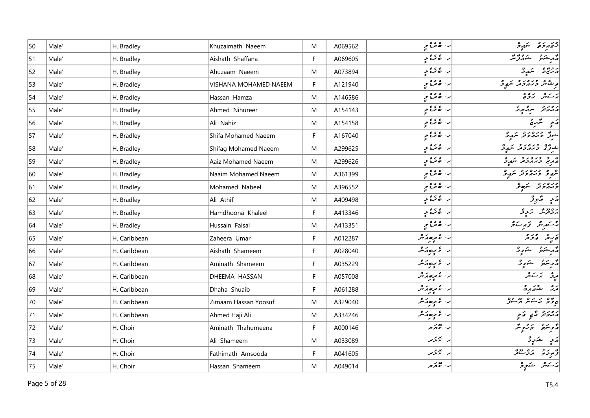| 50 | Male' | H. Bradley   | Khuzaimath Naeem      | M           | A069562 | ر، ھېروم           |                                                 |
|----|-------|--------------|-----------------------|-------------|---------|--------------------|-------------------------------------------------|
| 51 | Male' | H. Bradley   | Aishath Shaffana      | $\mathsf F$ | A069605 | ر، ھېر، م          | 3 در 3 مرد 2<br>زیمبروی سرد 3<br>در شکو شکورگ   |
| 52 | Male' | H. Bradley   | Ahuzaam Naeem         | M           | A073894 | ر. ھېرومو          |                                                 |
| 53 | Male' | H. Bradley   | VISHANA MOHAMED NAEEM | F           | A121940 | ر. ھېروم           | و شمکر وره دو مدرد                              |
| 54 | Male' | H. Bradley   | Hassan Hamza          | M           | A146586 | بەھىدە بېر         | ير سند مركز مركز                                |
| 55 | Male' | H. Bradley   | Ahmed Nihureer        | ${\sf M}$   | A154143 | ر، ھېروم           | ره رو سر سر پر پر<br>  در سر سر سر پر پر        |
| 56 | Male' | H. Bradley   | Ali Nahiz             | ${\sf M}$   | A154158 | ر، ھېروم           | أەسمجە سەمدىقى                                  |
| 57 | Male' | H. Bradley   | Shifa Mohamed Naeem   | F           | A167040 | ر، ھېروم           | أحوق وره رو شهره                                |
| 58 | Male' | H. Bradley   | Shifag Mohamed Naeem  | M           | A299625 | ر. ھېرومو          | جوزة ورەرو شرك                                  |
| 59 | Male' | H. Bradley   | Aaiz Mohamed Naeem    | ${\sf M}$   | A299626 | ر، ھېروم           | أأأرج وبرودو تتمدح                              |
| 60 | Male' | H. Bradley   | Naaim Mohamed Naeem   | M           | A361399 | ر، ھېروم           | شمره وره دو سمده                                |
| 61 | Male' | H. Bradley   | Mohamed Nabeel        | M           | A396552 | ر. ھېروم           | ورورو شهره                                      |
| 62 | Male' | H. Bradley   | Ali Athif             | M           | A409498 | ر. ۱۵۷۵ م          | أوسمج وتجوفر                                    |
| 63 | Male' | H. Bradley   | Hamdhoona Khaleel     | F           | A413346 | ر. ھېرومو          | رەددىر زىرو                                     |
| 64 | Male' | H. Bradley   | Hussain Faisal        | ${\sf M}$   | A413351 | رية هوء مج         | وحسكم وكمرسك                                    |
| 65 | Male' | H. Caribbean | Zaheera Umar          | F           | A012287 | ر، ئابرەرگە        | كالمحاسر بمراجح وكالمر                          |
| 66 | Male' | H. Caribbean | Aishath Shameem       | $\mathsf F$ | A028040 | ر ، ئۈيرەرگە       | أقهر شكور فيكور                                 |
| 67 | Male' | H. Caribbean | Aminath Shameem       | F           | A035229 | ر، ئۈبرەرگە        | أأروبتهم المستور                                |
| 68 | Male' | H. Caribbean | DHEEMA HASSAN         | F           | A057008 | $rac{a}{\sqrt{2}}$ | مرچ = برَسَۃ مر                                 |
| 69 | Male' | H. Caribbean | Dhaha Shuaib          | F           | A061288 | $rac{1}{\sqrt{2}}$ | $rac{2}{6}$ $rac{2}{3}$ $rac{2}{3}$ $rac{2}{3}$ |
| 70 | Male' | H. Caribbean | Zimaam Hassan Yoosuf  | ${\sf M}$   | A329040 | ر، ئۈپرەرگە        | بره در ده دو ده<br>برخه برخش مرسور              |
| 71 | Male' | H. Caribbean | Ahmed Haji Ali        | M           | A334246 | ر، ئۈبرەرگە        | رەر دېر پەيغ كەي                                |
| 72 | Male' | H. Choir     | Aminath Thahumeena    | F           | A000146 | ر، عوہر میں        | أزويته وترويثر                                  |
| 73 | Male' | H. Choir     | Ali Shameem           | ${\sf M}$   | A033089 | ر، سیمبر پر        | ړې شوه                                          |
| 74 | Male' | H. Choir     | Fathimath Amsooda     | $\mathsf F$ | A041605 | ر، سی پر بر        | ه د د ده دده.<br>ژبوده پروسین                   |
| 75 | Male' | H. Choir     | Hassan Shameem        | ${\sf M}$   | A049014 | ر، سیمرسر          | پرستمبر مقوو                                    |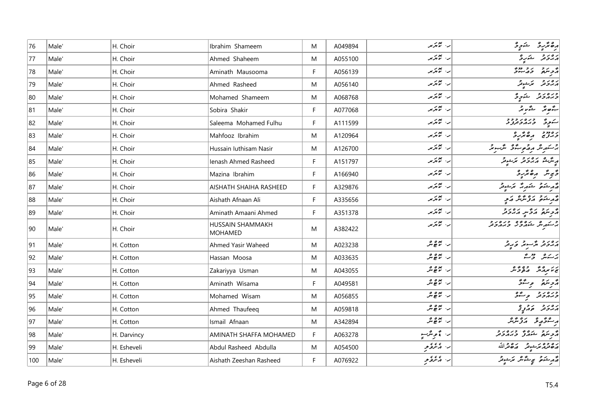| 76  | Male' | H. Choir    | Ibrahim Shameem                    | M         | A049894 | ر، سی پر    | د ۱۳۵ پخپرو د                                          |
|-----|-------|-------------|------------------------------------|-----------|---------|-------------|--------------------------------------------------------|
| 77  | Male' | H. Choir    | Ahmed Shaheem                      | ${\sf M}$ | A055100 | ر، غەدىبە   | رەرو خىرو                                              |
| 78  | Male' | H. Choir    | Aminath Mausooma                   | F         | A056139 | ر، سیمرسر   | أأروسهم وأحددهم                                        |
| 79  | Male' | H. Choir    | Ahmed Rasheed                      | M         | A056140 | ر، سوپر بیر | د ۱۵ د حر مر کر شوند                                   |
| 80  | Male' | H. Choir    | Mohamed Shameem                    | M         | A068768 | ر، سور بر   | ورەرو شەرو                                             |
| 81  | Male' | H. Choir    | Sobira Shakir                      | F         | A077068 | ر، عہور     | $\begin{array}{cc} 2 & 2 & 2 \\ 2 & 2 & 2 \end{array}$ |
| 82  | Male' | H. Choir    | Saleema Mohamed Fulhu              | F         | A111599 | ر، عہور     | منور مدرور دور<br>  منور مدرور دور                     |
| 83  | Male' | H. Choir    | Mahfooz Ibrahim                    | M         | A120964 | ر، سوپر بیر | دەدد مەرد                                              |
| 84  | Male' | H. Choir    | Hussain luthisam Nasir             | ${\sf M}$ | A126700 | ر، سیمتر بر |                                                        |
| 85  | Male' | H. Choir    | lenash Ahmed Rasheed               | F         | A151797 | ر، سیمرسر   | ر مرکب اور دیکھ مرکب دیگر                              |
| 86  | Male' | H. Choir    | Mazina Ibrahim                     | F         | A166940 | ر، سیمرسر   | قىم شەھەم يە                                           |
| 87  | Male' | H. Choir    | AISHATH SHAIHA RASHEED             | F         | A329876 | ر، سیمرسر   | أما مر شكافه الشرك المر الشوقر                         |
| 88  | Male' | H. Choir    | Aishath Afnaan Ali                 | F         | A335656 | ر، سیمرسر   |                                                        |
| 89  | Male' | H. Choir    | Aminath Amaani Ahmed               | F         | A351378 | ر، عوثر بر  | أأدمره برؤس أرورد                                      |
| 90  | Male' | H. Choir    | HUSSAIN SHAMMAKH<br><b>MOHAMED</b> | M         | A382422 | ر، میتونیر  | إرتشر شروعه ورورد                                      |
| 91  | Male' | H. Cotton   | Ahmed Yasir Waheed                 | ${\sf M}$ | A023238 | ر. ئۇغ بىر  | أرور والمحر المحارقة                                   |
| 92  | Male' | H. Cotton   | Hassan Moosa                       | M         | A033635 | ر. لاھ پر   | پرستمبر وحرثته                                         |
| 93  | Male' | H. Cotton   | Zakariyya Usman                    | ${\sf M}$ | A043055 | ر. لاھ پر   |                                                        |
| 94  | Male' | H. Cotton   | Aminath Wisama                     | F         | A049581 | ر. نۇھ بىر  | أزويتهم ويثنثه                                         |
| 95  | Male' | H. Cotton   | Mohamed Wisam                      | ${\sf M}$ | A056855 | ر. لاھ پر   | وره د و ده                                             |
| 96  | Male' | H. Cotton   | Ahmed Thaufeeq                     | ${\sf M}$ | A059818 | ر. ئۇغ بىر  | رەرد روپى                                              |
| 97  | Male' | H. Cotton   | Ismail Afnaan                      | M         | A342894 | ر. نوم مگر  | رەم ئۇرۇ مۇمۇر                                         |
| 98  | Male' | H. Darvincy | AMINATH SHAFFA MOHAMED             | F         | A063278 | ر. ۽ُوپڙپ   | أتر شرح المشمر والمحمد والمحمد                         |
| 99  | Male' | H. Esheveli | Abdul Rasheed Abdulla              | M         | A054500 | ر. پرعرفرمر | ره وه برجونه مردم والله                                |
| 100 | Male' | H. Esheveli | Aishath Zeeshan Rasheed            | F         | A076922 | ر به عروجه  | ا<br>در شوه بې شوش بر شوند                             |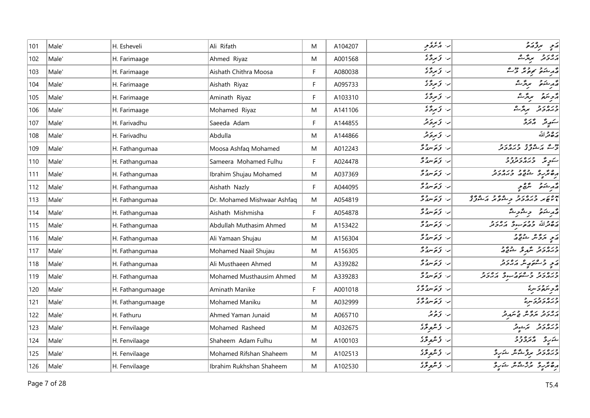| 101 | Male' | H. Esheveli      | Ali Rifath                  | M         | A104207 | ر، دېمنومو      | $5 - 9 - 5 = 6$                                                                                          |
|-----|-------|------------------|-----------------------------|-----------|---------|-----------------|----------------------------------------------------------------------------------------------------------|
| 102 | Male' | H. Farimaage     | Ahmed Riyaz                 | M         | A001568 | ر . تومودٌ ک    | أرەر دېرى                                                                                                |
| 103 | Male' | H. Farimaage     | Aishath Chithra Moosa       | F         | A080038 | ر . تومودٌ دُ   | $\stackrel{2}{\sim}$ $\stackrel{2}{\sim}$ $\stackrel{2}{\sim}$ $\stackrel{2}{\sim}$ $\stackrel{2}{\sim}$ |
| 104 | Male' | H. Farimaage     | Aishath Riyaz               | F         | A095733 | ر . ئەبردگى     | وكرمشكم بروكش                                                                                            |
| 105 | Male' | H. Farimaage     | Aminath Riyaz               | F         | A103310 | ر . ئۇ بردگا    | و څخه سر پر شه                                                                                           |
| 106 | Male' | H. Farimaage     | Mohamed Riyaz               | M         | A141106 | ر . تومودٌ دُ   | و رە ر د<br><i>و بر</i> پر تر<br>سمروشر مشر                                                              |
| 107 | Male' | H. Farivadhu     | Saeeda Adam                 | F         | A144855 | ر و تر تروتر    |                                                                                                          |
| 108 | Male' | H. Farivadhu     | Abdulla                     | M         | A144866 | ر کا مرکز تر    | برە ترالله                                                                                               |
| 109 | Male' | H. Fathangumaa   | Moosa Ashfaq Mohamed        | ${\sf M}$ | A012243 | ر . ۇە سەر      |                                                                                                          |
| 110 | Male' | H. Fathangumaa   | Sameera Mohamed Fulhu       | F         | A024478 | ر . ۇە سەر      | شریگ وره درود                                                                                            |
| 111 | Male' | H. Fathangumaa   | Ibrahim Shujau Mohamed      | M         | A037369 |                 | دە ئەرە بەدە دىرەرد                                                                                      |
| 112 | Male' | H. Fathangumaa   | Aishath Nazly               | F         | A044095 | ر . ۇە سەر      | أقهر شده شرج محي                                                                                         |
| 113 | Male' | H. Fathangumaa   | Dr. Mohamed Mishwaar Ashfaq | M         | A054819 | ر . توکار در پی |                                                                                                          |
| 114 | Male' | H. Fathangumaa   | Aishath Mishmisha           | F         | A054878 | ر . ۇە ئىرى ئ   | أشركتم وكومة                                                                                             |
| 115 | Male' | H. Fathangumaa   | Abdullah Muthasim Ahmed     | ${\sf M}$ | A153422 | ر . ئەتەسىدى    | رە داللە دورب و رەرد                                                                                     |
| 116 | Male' | H. Fathangumaa   | Ali Yamaan Shujau           | ${\sf M}$ | A156304 | ر . توکار در پی | أريحي الركر مركب والمحمد                                                                                 |
| 117 | Male' | H. Fathangumaa   | Mohamed Naail Shujau        | M         | A156305 |                 | ورەر دېمبر و دور                                                                                         |
| 118 | Male' | H. Fathangumaa   | Ali Musthaeen Ahmed         | M         | A339282 | ل تەكەسىدى      | كمجمع وصمي والمتحدة                                                                                      |
| 119 | Male' | H. Fathangumaa   | Mohamed Musthausim Ahmed    | M         | A339283 | ر . ۇە سىدۇ     | כנסנכ כסנכ סיים נסנכ<br>כמונכת כייסולייפ ומכת                                                            |
| 120 | Male' | H. Fathangumaage | Aminath Manike              | F         | A001018 | ر. تۆھ سرچ دی   | ה<br>הכיתם ביתי                                                                                          |
| 121 | Male' | H. Fathangumaage | Mohamed Maniku              | M         | A032999 | ر کوکاروی       | ورەر در د                                                                                                |
| 122 | Male' | H. Fathuru       | Ahmed Yaman Junaid          | M         | A065710 |                 | ر ور د بره و د بر د                                                                                      |
| 123 | Male' | H. Fenvilaage    | Mohamed Rasheed             | ${\sf M}$ | A032675 | ر. ۇ ئىرو ئۇي   | ورەرو كرشونر                                                                                             |
| 124 | Male' | H. Fenvilaage    | Shaheem Adam Fulhu          | ${\sf M}$ | A100103 | ر. ۇشمۇمۇتى     | شرره په ده دو                                                                                            |
| 125 | Male' | H. Fenvilaage    | Mohamed Rifshan Shaheem     | ${\sf M}$ | A102513 | ر. ۇ نىرو دى    | ورەرو بروڅش خېرو                                                                                         |
| 126 | Male' | H. Fenvilaage    | Ibrahim Rukhshan Shaheem    | M         | A102530 | ر. ۇمىھو ئۇي    |                                                                                                          |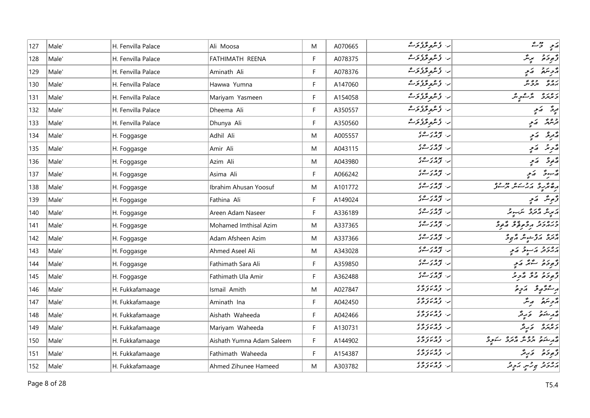| 127 | Male' | H. Fenvilla Palace | Ali Moosa                 | M           | A070665 | ر. ئۇ ش <sub>ە</sub> بۇ ئۇ ئەت                | $2^{3}$ $2^{7}$                                         |
|-----|-------|--------------------|---------------------------|-------------|---------|-----------------------------------------------|---------------------------------------------------------|
| 128 | Male' | H. Fenvilla Palace | FATHIMATH REENA           | F.          | A078375 | ر. ۇ ئىرە ئۇز ئەت                             | و بر د<br>ترموز م<br>ىرىتر<br>ئ                         |
| 129 | Male' | H. Fenvilla Palace | Aminath Ali               | F           | A078376 | ر. ئۇ ش <sub>ە</sub> بۇ ئۇ ئەت                | أثر حريره<br>رځمو                                       |
| 130 | Male' | H. Fenvilla Palace | Hawwa Yumna               | F           | A147060 | ر. ۇير <sub>ەپ</sub> ئ <sub>ە</sub> زىر م     | رە پە<br>بەدە<br>پرویژ                                  |
| 131 | Male' | H. Fenvilla Palace | Mariyam Yasmeen           | F           | A154058 | ر. ئۇمرگە ئەقتى                               | ېژگ <sub>ىرچى</sub> ر<br>ر ه ر ه<br><del>ر</del> بربر ژ |
| 132 | Male' | H. Fenvilla Palace | Dheema Ali                | F           | A350557 | ر. ۇ ئىرو ئۇزىخەت                             | ا در پی در کرد<br>اور پی در کرد                         |
| 133 | Male' | H. Fenvilla Palace | Dhunya Ali                | F           | A350560 | ر. ئۇمرىمۇ ئۇ ئۆگ                             | و ه پر<br>ترس<br>ەئىر                                   |
| 134 | Male' | H. Foggasge        | Adhil Ali                 | M           | A005557 | ر، نومړی شي                                   | پ <sup>و</sup> رو کړې                                   |
| 135 | Male' | H. Foggasge        | Amir Ali                  | M           | A043115 | ر، نوم د ه ه ه                                | وترمز<br>رځ په                                          |
| 136 | Male' | H. Foggasge        | Azim Ali                  | M           | A043980 | ر، نوم د ه ه ه                                | $rac{\circ}{\circ}$ $rac{\circ}{\circ}$<br>ەكىپىيە      |
| 137 | Male' | H. Foggasge        | Asima Ali                 | F           | A066242 | ر، نوه د ه ه و                                | رم<br>مرسبة بر<br>رځمنې                                 |
| 138 | Male' | H. Foggasge        | Ibrahim Ahusan Yoosuf     | M           | A101772 | ر، پوه ره و،                                  | ېر د سه ه ده وه وه                                      |
| 139 | Male' | H. Foggasge        | Fathina Ali               | F           | A149024 | ر، نوم د ه ه ه                                | قرموشر الأمير                                           |
| 140 | Male' | H. Foggasge        | Areen Adam Naseer         | $\mathsf F$ | A336189 | ر. موه د ه و ه                                | ړېږ رورو او د کړ                                        |
| 141 | Male' | H. Foggasge        | Mohamed Imthisal Azim     | ${\sf M}$   | A337365 | ر. بوه در ۵۵                                  | ورەرد مەم ئەھ ئەر                                       |
| 142 | Male' | H. Foggasge        | Adam Afsheen Azim         | M           | A337366 | ر. بوه در ۵۵                                  | ړو روسه رکړو                                            |
| 143 | Male' | H. Foggasge        | Ahmed Aseel Ali           | M           | A343028 | ر. پوه پر ۵ په                                | أرەرو كەسپى كەم                                         |
| 144 | Male' | H. Foggasge        | Fathimath Sara Ali        | F           | A359850 | ر، پوه ره و،                                  | توجوجو ستعرضي                                           |
| 145 | Male' | H. Foggasge        | Fathimath Ula Amir        | F           | A362488 | ر، پوه ره و،                                  | و دو دو ور                                              |
| 146 | Male' | H. Fukkafamaage    | Ismail Amith              | M           | A027847 | ر وه رر د ،<br>ر و مرود د                     | وڪوڻو ڏوڻ                                               |
| 147 | Male' | H. Fukkafamaage    | Aminath Ina               | F           | A042450 | ر وه دره د.<br>ر و د ماورد                    | ړې سره په پر                                            |
| 148 | Male' | H. Fukkafamaage    | Aishath Waheeda           | F           | A042466 | ر وه ر ر د د .<br>ر· نو د ر تو <del>ر</del> د | أقهر شدة وكبيتر                                         |
| 149 | Male' | H. Fukkafamaage    | Mariyam Waheeda           | F           | A130731 | ر وه ر ر د د .<br>ر· نو د ر تو <del>ر</del> د | د ۵ ره د کر تر                                          |
| 150 | Male' | H. Fukkafamaage    | Aishath Yumna Adam Saleem | F           | A144902 | ر وه ر ر و ،<br>ر . تو پر ر تو <del>ر</del> د | و در ده وه دره سرو                                      |
| 151 | Male' | H. Fukkafamaage    | Fathimath Waheeda         | F.          | A154387 | ر وه ر ر و ،<br>ر . تو پر ر تو تر ی           | وٌموحَمْ وَرِمَّرُ                                      |
| 152 | Male' | H. Fukkafamaage    | Ahmed Zihunee Hameed      | M           | A303782 | ر وه رزه و<br>ر و د مانون و                   | ړ پروته پر ژبې ټرې پر                                   |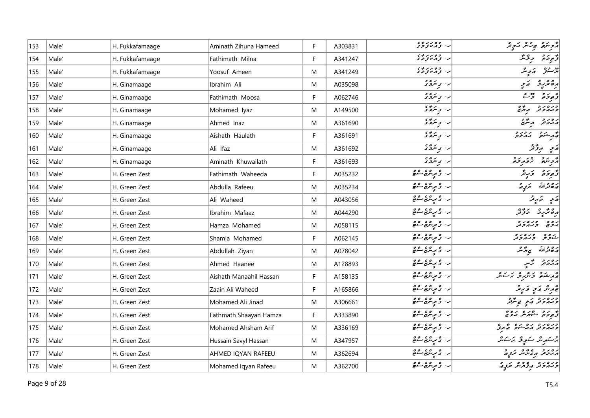| 153 | Male' | H. Fukkafamaage | Aminath Zihuna Hameed   | F           | A303831 | ر وه ر ر و ،<br>ر . تو پر ر تو <del>ر</del> د | أأوسكم بإركشا بكافي فلتحفظ         |
|-----|-------|-----------------|-------------------------|-------------|---------|-----------------------------------------------|------------------------------------|
| 154 | Male' | H. Fukkafamaage | Fathimath Milna         | F           | A341247 | ر وه ر ر د د<br>ر . و پر ر و د د              | أزودة وفتر                         |
| 155 | Male' | H. Fukkafamaage | Yoosuf Ameen            | M           | A341249 | ر وه ر ر و ،<br>ر . تو پر ر تو <del>ر</del> د | در وه<br>در سرو                    |
| 156 | Male' | H. Ginamaage    | Ibrahim Ali             | M           | A035098 | ر، پەنىۋە                                     | وەتزرو<br>ەتىر                     |
| 157 | Male' | H. Ginamaage    | Fathimath Moosa         | F           | A062746 | ر. په مرکزه                                   | و مر د<br>ترجو حو<br>دو مشر        |
| 158 | Male' | H. Ginamaage    | Mohamed Iyaz            | M           | A149500 | لر، ويتروه<br>سب                              | כנסנכ הים                          |
| 159 | Male' | H. Ginamaage    | Ahmed Inaz              | M           | A361690 | ار.<br>اس و مردوی                             | أرور والمحمد                       |
| 160 | Male' | H. Ginamaage    | Aishath Haulath         | F           | A361691 | ار.<br>ار. ومردی                              | م د در در در د<br>مگر شوه بر در د  |
| 161 | Male' | H. Ginamaage    | Ali Ifaz                | M           | A361692 | ر، پەنتىۋى                                    | أة موقر ورقر                       |
| 162 | Male' | H. Ginamaage    | Aminath Khuwailath      | $\mathsf F$ | A361693 | ر ، پاسچې                                     | أزويتم وتحديج                      |
| 163 | Male' | H. Green Zest   | Fathimath Waheeda       | F           | A035232 | ر. ۇ پرېترى كەھ                               | قَهِ وَ مَدِيَّر                   |
| 164 | Male' | H. Green Zest   | Abdulla Rafeeu          | M           | A035234 | ر. ۇ پرىدى گەھ                                | پرې قرالله<br>بمروح                |
| 165 | Male' | H. Green Zest   | Ali Waheed              | M           | A043056 | ر. و پرېږي شو                                 | أەسمج المحاسر فر                   |
| 166 | Male' | H. Green Zest   | Ibrahim Mafaaz          | M           | A044290 | ر. گە پرىر ئاھىمى                             | ەھ ئەرە بەر ئەرە<br>بەھ ئەرە بەر ئ |
| 167 | Male' | H. Green Zest   | Hamza Mohamed           | M           | A058115 | ر. و پرسی دو                                  | ره دره دور                         |
| 168 | Male' | H. Green Zest   | Shamla Mohamed          | F.          | A062145 | ر. گە ئىر سرچ كەنق                            | شكە ئەرەر ئە                       |
| 169 | Male' | H. Green Zest   | Abdullah Ziyan          | M           | A078042 | ر. ۇ پرىدۇ شۇ                                 | 50 مقرالله بم مركز مر              |
| 170 | Male' | H. Green Zest   | Ahmed Haanee            | M           | A128893 | ر، ۇىرىش ئىق                                  | رەرد ئىر                           |
| 171 | Male' | H. Green Zest   | Aishath Manaahil Hassan | F           | A158135 | ر. ۇ پرىدۇ شۇ                                 | وأرجنتم وتركو بمسكر                |
| 172 | Male' | H. Green Zest   | Zaain Ali Waheed        | $\mathsf F$ | A165866 | ر. ۇ پرىدۇ شۇ                                 | لتجمر شر محمد و ترکیبر             |
| 173 | Male' | H. Green Zest   | Mohamed Ali Jinad       | M           | A306661 | ر. گە پرىر ئاھىمى                             | ورورو كمو ويكو                     |
| 174 | Male' | H. Green Zest   | Fathmath Shaayan Hamza  | F           | A333890 | ر. ۇ پرېترى كەھ                               | تح و حديده ده د                    |
| 175 | Male' | H. Green Zest   | Mohamed Ahsham Arif     | M           | A336169 | ر. ۇ پرېترى كەھ                               | ورەرد رەپرىشى كەيرۇ                |
| 176 | Male' | H. Green Zest   | Hussain Savyl Hassan    | M           | A347957 | ر. گە ئېرىشكى كەھ                             | چە سەر ھەر سەھ بۇ بەسەھ            |
| 177 | Male' | H. Green Zest   | AHMED IQYAN RAFEEU      | M           | A362694 | ر، ۇىرىئرچ كىق                                | גפנד היכולית ותקדי                 |
| 178 | Male' | H. Green Zest   | Mohamed Iqyan Rafeeu    | M           | A362700 | ر، ۇ پرىدى گەھ                                | ورەرو مۆش ئرړه                     |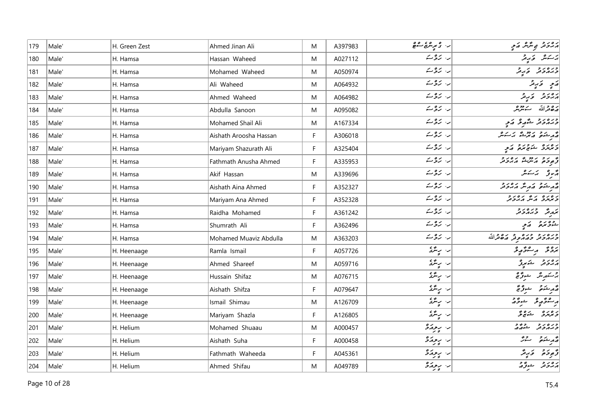| 179 | Male' | H. Green Zest | Ahmed Jinan Ali        | M           | A397983 | ر. و مرشق کو        | رورد <sub>و شرید کرد<br/>مدونر و شرید کرد</sub>                                                                                                                                                                                                                                                                                                                                     |
|-----|-------|---------------|------------------------|-------------|---------|---------------------|-------------------------------------------------------------------------------------------------------------------------------------------------------------------------------------------------------------------------------------------------------------------------------------------------------------------------------------------------------------------------------------|
| 180 | Male' | H. Hamsa      | Hassan Waheed          | M           | A027112 | ر. رَوْسَه          | رُسُمبر كَرِيرٌ                                                                                                                                                                                                                                                                                                                                                                     |
| 181 | Male' | H. Hamsa      | Mohamed Waheed         | M           | A050974 | ر. رُوْسَه          | ورەرو كەيلا                                                                                                                                                                                                                                                                                                                                                                         |
| 182 | Male' | H. Hamsa      | Ali Waheed             | M           | A064932 | ر. رَوْسَه          | أوسمح المحارجة                                                                                                                                                                                                                                                                                                                                                                      |
| 183 | Male' | H. Hamsa      | Ahmed Waheed           | M           | A064982 | ر. زه به            | رەرو كەيىر                                                                                                                                                                                                                                                                                                                                                                          |
| 184 | Male' | H. Hamsa      | Abdulla Sanoon         | M           | A095082 | ر. رَوْسَه          | يَدْهِ قَدْاللّه سَوْمِثْرَ                                                                                                                                                                                                                                                                                                                                                         |
| 185 | Male' | H. Hamsa      | Mohamed Shail Ali      | M           | A167334 | ر، رُوْسَہ          | ورەرو خەرو كې                                                                                                                                                                                                                                                                                                                                                                       |
| 186 | Male' | H. Hamsa      | Aishath Aroosha Hassan | $\mathsf F$ | A306018 | ر. رُوْسَ           | $\begin{array}{cccccc} \mathcal{L} & \mathcal{L} & \mathcal{L} & \mathcal{L} & \mathcal{L} & \mathcal{L} & \mathcal{L} \\ \mathcal{L} & \mathcal{L} & \mathcal{L} & \mathcal{L} & \mathcal{L} & \mathcal{L} & \mathcal{L} & \mathcal{L} \\ \mathcal{L} & \mathcal{L} & \mathcal{L} & \mathcal{L} & \mathcal{L} & \mathcal{L} & \mathcal{L} & \mathcal{L} & \mathcal{L} \end{array}$ |
| 187 | Male' | H. Hamsa      | Mariyam Shazurath Ali  | F.          | A325404 | ر، رُوْسَہ          | ر ورو در در در در                                                                                                                                                                                                                                                                                                                                                                   |
| 188 | Male' | H. Hamsa      | Fathmath Anusha Ahmed  | F           | A335953 | ر، رُوْسَہ          | و د د برده ده د و                                                                                                                                                                                                                                                                                                                                                                   |
| 189 | Male' | H. Hamsa      | Akif Hassan            | M           | A339696 | ر. رَوْسَ           | أژىر ئەسەتلە                                                                                                                                                                                                                                                                                                                                                                        |
| 190 | Male' | H. Hamsa      | Aishath Aina Ahmed     | F.          | A352327 | ر، رُوْسَہ          | התשים התית המכת                                                                                                                                                                                                                                                                                                                                                                     |
| 191 | Male' | H. Hamsa      | Mariyam Ana Ahmed      | F.          | A352328 | ر، رَوْسَه          | נ סנס גוב גםנב                                                                                                                                                                                                                                                                                                                                                                      |
| 192 | Male' | H. Hamsa      | Raidha Mohamed         | $\mathsf F$ | A361242 | ر. رَوْسَه          | پروگر در در د                                                                                                                                                                                                                                                                                                                                                                       |
| 193 | Male' | H. Hamsa      | Shumrath Ali           | $\mathsf F$ | A362496 | ر. رَوْسَه          | شوه برو کرم                                                                                                                                                                                                                                                                                                                                                                         |
| 194 | Male' | H. Hamsa      | Mohamed Muaviz Abdulla | ${\sf M}$   | A363203 | ر. رُوْسَه          | وره رو وره و رووالله                                                                                                                                                                                                                                                                                                                                                                |
| 195 | Male' | H. Heenaage   | Ramla Ismail           | F.          | A057726 | ر. ریٹری            | پروژ پر سوژیږد                                                                                                                                                                                                                                                                                                                                                                      |
| 196 | Male' | H. Heenaage   | Ahmed Shareef          | M           | A059716 | ر. ریٹرنگ           | رەرد خىرو                                                                                                                                                                                                                                                                                                                                                                           |
| 197 | Male' | H. Heenaage   | Hussain Shifaz         | M           | A076715 | ر. ریٹرنگ           | جر سکھر مگر مشور محمد ہے<br>مراجعہ مشور محمد                                                                                                                                                                                                                                                                                                                                        |
| 198 | Male' | H. Heenaage   | Aishath Shifza         | F           | A079647 | ر. ریٹری            | و<br>وگهرڪو ڪوڙي                                                                                                                                                                                                                                                                                                                                                                    |
| 199 | Male' | H. Heenaage   | Ismail Shimau          | M           | A126709 | ر. پەنگەنگە         | ر شۇر ئىنى ئىش                                                                                                                                                                                                                                                                                                                                                                      |
| 200 | Male' | H. Heenaage   | Mariyam Shazla         | F           | A126805 | ر. ریٹری            | ره ره مده و                                                                                                                                                                                                                                                                                                                                                                         |
| 201 | Male' | H. Helium     | Mohamed Shuaau         | M           | A000457 | ر. روړو             | شقەھەر<br>و ره ر و<br><i>و پر</i> و تر                                                                                                                                                                                                                                                                                                                                              |
| 202 | Male' | H. Helium     | Aishath Suha           | F.          | A000458 | ر رپه دره           | ە ئەستىق سىر                                                                                                                                                                                                                                                                                                                                                                        |
| 203 | Male' | H. Helium     | Fathmath Waheeda       | F           | A045361 | له، روړو ه<br>سفينه | وٌمودَهُ وَرِمَّرُ                                                                                                                                                                                                                                                                                                                                                                  |
| 204 | Male' | H. Helium     | Ahmed Shifau           | M           | A049789 | ر رپوړو             | رەرد خوژه                                                                                                                                                                                                                                                                                                                                                                           |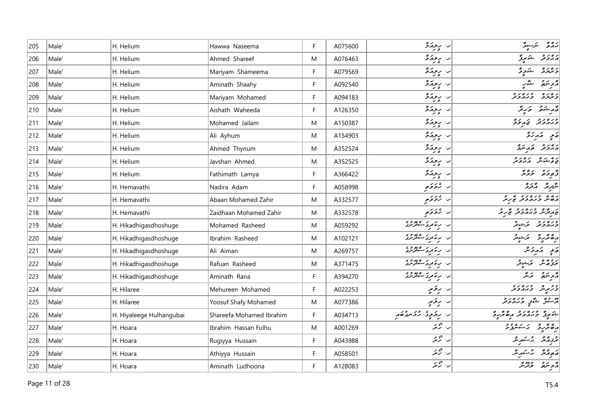| 205 | Male' | H. Helium                | Hawwa Naseema            | F           | A075600 | ر، رِمِهُ دُ                                          | ىئرسىدۇ<br>رە پە                                                                                                  |
|-----|-------|--------------------------|--------------------------|-------------|---------|-------------------------------------------------------|-------------------------------------------------------------------------------------------------------------------|
| 206 | Male' | H. Helium                | Ahmed Shareef            | M           | A076463 | ر ریپروژ                                              | پره پر و<br>شەمرۇ                                                                                                 |
| 207 | Male' | H. Helium                | Mariyam Shameema         | $\mathsf F$ | A079569 | ر ریپروژ                                              | ر ه ر ه<br><del>و</del> بربرو<br>شەر ۋ                                                                            |
| 208 | Male' | H. Helium                | Aminath Shaahy           | F           | A092540 | ر رپوړو                                               | أرمز ترة                                                                                                          |
| 209 | Male' | H. Helium                | Mariyam Mohamed          | F           | A094183 | $51.5 - 7$                                            | و ره ر د<br><i>د ب</i> رگرفر<br>ر ه ر ه<br><del>ر</del> بربر ژ                                                    |
| 210 | Male' | H. Helium                | Aishath Waheeda          | $\mathsf F$ | A126350 | ر ریپروژ                                              | وكرم شكوه المحارقة                                                                                                |
| 211 | Male' | H. Helium                | Mohamed Jailam           | M           | A150387 | $5122 -$                                              | ورەرو پەرك                                                                                                        |
| 212 | Male' | H. Helium                | Ali Ayhum                | M           | A154903 | ر روزو                                                | $\begin{array}{cc} 2\mathcal{L} \wedge \mathcal{L} & \mathcal{L} \wedge \\ \mathcal{L} & \mathcal{L} \end{array}$ |
| 213 | Male' | H. Helium                | Ahmed Thynum             | M           | A352524 | 312.7                                                 | גם גב גבית                                                                                                        |
| 214 | Male' | H. Helium                | Javshan Ahmed            | M           | A352525 | ر، روزو                                               | ره شکس مرکبرد.<br>مح <b>وشکس</b> مرکبرد                                                                           |
| 215 | Male' | H. Helium                | Fathimath Lamya          | F           | A366422 | ر، روزه                                               | وٌ ورَمَ وَرَمَّرُ                                                                                                |
| 216 | Male' | H. Hemavathi             | Nadira Adam              | F           | A058998 | ر بالمحتمد                                            | مرَّمَر جُمْرٍ وَالْمَرْحَرِ                                                                                      |
| 217 | Male' | H. Hemavathi             | Abaan Mohamed Zahir      | M           | A332577 | ر. دې ده په                                           |                                                                                                                   |
| 218 | Male' | H. Hemavathi             | Zaidhaan Mohamed Zahir   | M           | A332578 | ر. روز و په                                           | בת מים כמחכנת בית                                                                                                 |
| 219 | Male' | H. Hikadhigasdhoshuge    | Mohamed Rasheed          | M           | A059292 | ر ۱۰ مرما توری مسلولوژی<br>مرد امریکا مسلولوژی        | ورەرو كەشپەر                                                                                                      |
| 220 | Male' | H. Hikadhigasdhoshuge    | Ibrahim Rasheed          | M           | A102121 | ر ۱۰ مرنم توری مستولاتری<br>امراد مرنم مستولاتری      | ە ئەرە ئەسىم<br>مەھەرە ئەسىم                                                                                      |
| 221 | Male' | H. Hikadhigasdhoshuge    | Ali Aiman                | M           | A269757 | ر ۱۰ ریز تورک شود و د<br>مرد از مرد ک                 | وأوست وأوردهم                                                                                                     |
| 222 | Male' | H. Hikadhigasdhoshuge    | Rafuan Rasheed           | M           | A371475 | ر ۱۰ مرنم توری مستخفر موری<br>مرد از مرکز مستخفر موری | بروژه برجونر                                                                                                      |
| 223 | Male' | H. Hikadhigasdhoshuge    | Aminath Rana             | F           | A394270 | ر به ریم توری مسلوم و د<br>بر به ریم توری مسلوم در د  | أزوينه تمتر                                                                                                       |
| 224 | Male' | H. Hilaree               | Mehureen Mohamed         | $\mathsf F$ | A022253 | ر، رِوَىِي                                            | ورىم دىرەرد                                                                                                       |
| 225 | Male' | H. Hilaree               | Yoosuf Shafy Mohamed     | M           | A077386 | ر، روًى ٍ                                             | در وه عنّي در در د                                                                                                |
| 226 | Male' | H. Hiyaleege Hulhangubai | Shareefa Mohamed Ibrahim | F           | A034713 |                                                       | شكيرة ورورو مصررو                                                                                                 |
| 227 | Male' | H. Hoara                 | Ibrahim Hassan Fulhu     | M           | A001269 | ر، ريمه                                               | رە ئەر ئەسكىرى ئ                                                                                                  |
| 228 | Male' | H. Hoara                 | Rugiyya Hussain          | F           | A043988 | ر. حريز                                               | برومد بر مسكر                                                                                                     |
| 229 | Male' | H. Hoara                 | Athiyya Hussain          | F           | A058501 | ر، ژیز                                                | مەبورىژ<br>جر سەمەرىش                                                                                             |
| 230 | Male' | H. Hoara                 | Aminath Ludhoona         | F           | A128083 | ر، ژیز                                                | أأزجه بمرد ودوري                                                                                                  |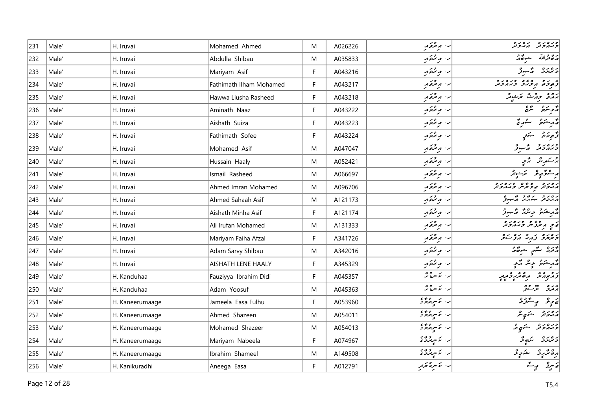| 231 | Male' | H. Iruvai       | Mohamed Ahmed             | M           | A026226 | ر به برغامه    | כנסנכ נסנכ<br>כגמכת הגבת                                                                                                                                                                                                                   |
|-----|-------|-----------------|---------------------------|-------------|---------|----------------|--------------------------------------------------------------------------------------------------------------------------------------------------------------------------------------------------------------------------------------------|
| 232 | Male' | H. Iruvai       | Abdulla Shibau            | M           | A035833 | ر به برخ د     | شوگه د<br>ەھەراللە                                                                                                                                                                                                                         |
| 233 | Male' | H. Iruvai       | Mariyam Asif              | F           | A043216 | ر بە برغەر     |                                                                                                                                                                                                                                            |
| 234 | Male' | H. Iruvai       | Fathimath Ilham Mohamed   | F           | A043217 | ر به مرغوم     |                                                                                                                                                                                                                                            |
| 235 | Male' | H. Iruvai       | Hawwa Liusha Rasheed      | F           | A043218 | ر و برغامه     | גול <i>בריבי הייני</i>                                                                                                                                                                                                                     |
| 236 | Male' | H. Iruvai       | Aminath Naaz              | F           | A043222 | ر به برخور     | أأرمز الملحمة المستنبع                                                                                                                                                                                                                     |
| 237 | Male' | H. Iruvai       | Aishath Suiza             | F           | A043223 | ر به برخور     | وكرمشكم فسنرمج                                                                                                                                                                                                                             |
| 238 | Male' | H. Iruvai       | Fathimath Sofee           | F           | A043224 | ر به مرځ مر    | ك <sub>ە 19</sub> كىمى سىكى بىلەر يېتىشى بىلەر كەنتى بىلەر ئەتلەر ئەزەر يېتىشى بىلەر كەنتى بىلەر ئەزەر يېتىشى بىلەر يېتىش<br>19 كىلىم بىلەر يېتىشى بىلەر يېتىشى بىلەر يېتىشى بىلەر يېتىشى بىلەر يېتىشى بىلەر يېتىشى بىلەر يېتىشى بىلەر يېت |
| 239 | Male' | H. Iruvai       | Mohamed Asif              | M           | A047047 | ر به برغامه    |                                                                                                                                                                                                                                            |
| 240 | Male' | H. Iruvai       | Hussain Haaly             | M           | A052421 | ر به برغامه    | برستهر شر المجمع                                                                                                                                                                                                                           |
| 241 | Male' | H. Iruvai       | Ismail Rasheed            | M           | A066697 | ر به مرتدم     | و حرکار ده استان کرد د                                                                                                                                                                                                                     |
| 242 | Male' | H. Iruvai       | Ahmed Imran Mohamed       | M           | A096706 | ر مرتزوگر      | גם גב הם שם בגם גב<br>גגבת הביניית בגהבת                                                                                                                                                                                                   |
| 243 | Male' | H. Iruvai       | Ahmed Sahaah Asif         | M           | A121173 | ر به برخور     | رەرد بەرد ئەب                                                                                                                                                                                                                              |
| 244 | Male' | H. Iruvai       | Aishath Minha Asif        | $\mathsf F$ | A121174 | ر به مرغه<br>ر | ومرشوقه وعرثه ومبادر                                                                                                                                                                                                                       |
| 245 | Male' | H. Iruvai       | Ali Irufan Mohamed        | M           | A131333 | ر به برغامه    | בי הייציי כנסיי                                                                                                                                                                                                                            |
| 246 | Male' | H. Iruvai       | Mariyam Faiha Afzal       | F           | A341726 | ر به مرغومه    | د وره و د په دوسکو                                                                                                                                                                                                                         |
| 247 | Male' | H. Iruvai       | Adam Sarvy Shibau         | M           | A342016 | ر به برغامه    | أركرو كسمي لشركة و                                                                                                                                                                                                                         |
| 248 | Male' | H. Iruvai       | <b>AISHATH LENE HAALY</b> | F.          | A345329 | ر بە برغەر     | مەر شەم بېرىكى                                                                                                                                                                                                                             |
| 249 | Male' | H. Kanduhaa     | Fauziyya Ibrahim Didi     | F.          | A045357 | ر، ئەسەمج      | زدید شهر موسیقه                                                                                                                                                                                                                            |
| 250 | Male' | H. Kanduhaa     | Adam Yoosuf               | M           | A045363 | ر، ئەسەمىيەتر  | پوره دو ده<br>پرترو پرسو                                                                                                                                                                                                                   |
| 251 | Male' | H. Kaneerumaage | Jameela Easa Fulhu        | F           | A053960 | ر. ئەسپەردى    | ق حٍ قِمَّ = صِنْعَوْمٌ                                                                                                                                                                                                                    |
| 252 | Male' | H. Kaneerumaage | Ahmed Shazeen             | M           | A054011 | ر، ئۈسپرىدى    | أرەرو شەپ                                                                                                                                                                                                                                  |
| 253 | Male' | H. Kaneerumaage | Mohamed Shazeer           | M           | A054013 | ر. ئەسپردۇ ئ   | ورەرو شەپ                                                                                                                                                                                                                                  |
| 254 | Male' | H. Kaneerumaage | Mariyam Nabeela           | F           | A074967 | ر. ئەسپەردى    | دەرە شھۇ                                                                                                                                                                                                                                   |
| 255 | Male' | H. Kaneerumaage | Ibrahim Shameel           | M           | A149508 | ر. ئەسپردۇ ئ   | ەر ھەتمەر 2<br>س<br>ے پار و                                                                                                                                                                                                                |
| 256 | Male' | H. Kanikuradhi  | Aneega Easa               | $\mathsf F$ | A012791 | ر، ئاسرىقىمۇر  | كاسرتج الإستم                                                                                                                                                                                                                              |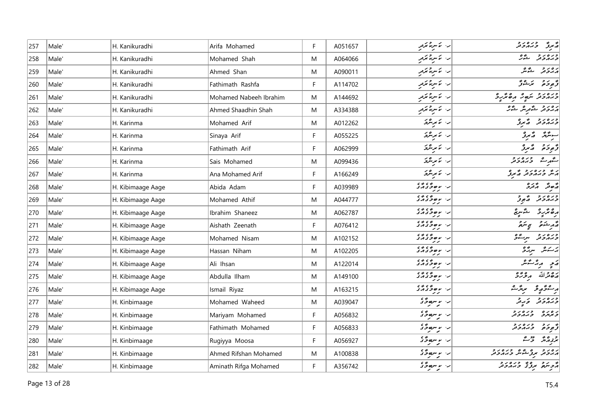| 257 | Male' | H. Kanikuradhi    | Arifa Mohamed          | F           | A051657 | ر ، ئەسەر ئىمەتىر          | أشعرتى وبرورو                                           |
|-----|-------|-------------------|------------------------|-------------|---------|----------------------------|---------------------------------------------------------|
| 258 | Male' | H. Kanikuradhi    | Mohamed Shah           | M           | A064066 | ر، ئەسرەتمەتر              | ورەر دەر                                                |
| 259 | Male' | H. Kanikuradhi    | Ahmed Shan             | M           | A090011 | ر ، ئامبرىزىمەتر           | رەر ئەش                                                 |
| 260 | Male' | H. Kanikuradhi    | Fathimath Rashfa       | F           | A114702 | ر ، ئامبرىز ئىزىر          | و گوځو ترشو                                             |
| 261 | Male' | H. Kanikuradhi    | Mohamed Nabeeh Ibrahim | M           | A144692 | ر ، ئەمىرىدىمدىر           | כנסנב תפל תפתיק                                         |
| 262 | Male' | H. Kanikuradhi    | Ahmed Shaadhin Shah    | M           | A334388 | ر، ئەسرەتمەتر              | أيروبر والمقورش المقرار                                 |
| 263 | Male' | H. Karinma        | Mohamed Arif           | M           | A012262 | ر ، ئامېرىنىڭە             | ورەر د پرو                                              |
| 264 | Male' | H. Karinma        | Sinaya Arif            | $\mathsf F$ | A055225 | ر ، ئائېرىنىڭە             | سىتىگە كەبىرى                                           |
| 265 | Male' | H. Karinma        | Fathimath Arif         | F           | A062999 | ر ، ئەيرىش                 | و معرفة المستمرية                                       |
| 266 | Male' | H. Karinma        | Sais Mohamed           | M           | A099436 | ر، ئەيرىش                  | شهر وره دو                                              |
| 267 | Male' | H. Karinma        | Ana Mohamed Arif       | F           | A166249 | ر، ئائىرىلىگە              | גם כנסגב בית                                            |
| 268 | Male' | H. Kibimaage Aage | Abida Adam             | F           | A039989 | $51550y -$                 | ړُه تَر ژدره                                            |
| 269 | Male' | H. Kibimaage Aage | Mohamed Athif          | M           | A044777 | $51550y -$                 | وره د و و                                               |
| 270 | Male' | H. Kibimaage Aage | Ibrahim Shaneez        | M           | A062787 | $51550y -$                 | رەڭرۇ شېرى                                              |
| 271 | Male' | H. Kibimaage Aage | Aishath Zeenath        | F           | A076412 | 595504                     | أقرم يحفظ وسنجا                                         |
| 272 | Male' | H. Kibimaage Aage | Mohamed Nisam          | M           | A102152 | $315504 -$                 | ورەرو سرگو                                              |
| 273 | Male' | H. Kibimaage Aage | Hassan Niham           | M           | A102205 | $\frac{c}{s}$              | يركس سررمح                                              |
| 274 | Male' | H. Kibimaage Aage | Ali Ihsan              | M           | A122014 | $51550y -$                 | أرمو الريم شريمر                                        |
| 275 | Male' | H. Kibimaage Aage | Abdulla Ilham          | M           | A149100 | $\frac{c}{s}$              | رە قراللە مەمرە                                         |
| 276 | Male' | H. Kibimaage Aage | Ismail Riyaz           | M           | A163215 | $515504 - 7$               | ر عۇرو برۇ .                                            |
| 277 | Male' | H. Kinbimaage     | Mohamed Waheed         | M           | A039047 | $rac{c}{s}$ g $rac{v}{s}$  | ورەر د ر د                                              |
| 278 | Male' | H. Kinbimaage     | Mariyam Mohamed        | $\mathsf F$ | A056832 | ر.<br>ر. <b>ب</b> ر سرچ دی | و ره ر و<br>تر پروتر<br>ر ہ ر ہ<br>تر <del>ب</del> ر بر |
| 279 | Male' | H. Kinbimaage     | Fathimath Mohamed      | F           | A056833 | ה תיישיבי.<br>ת            | و ده دره در د                                           |
| 280 | Male' | H. Kinbimaage     | Rugiyya Moosa          | F           | A056927 | הי תייקס ביב<br>ת          | حرق وه حق المحمد المحمد                                 |
| 281 | Male' | H. Kinbimaage     | Ahmed Rifshan Mohamed  | M           | A100838 | גי עיתום כב                | גם גב תר גילים בגברה                                    |
| 282 | Male' | H. Kinbimaage     | Aminath Rifga Mohamed  | F           | A356742 | ה תיינספי                  | 2000 2000 2000 E                                        |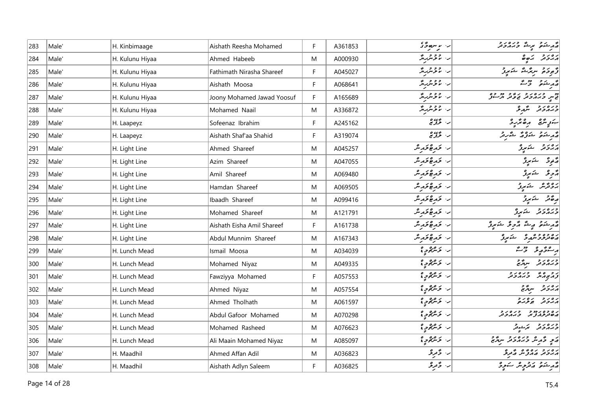| 283 | Male' | H. Kinbimaage   | Aishath Reesha Mohamed     | F         | A361853 | $rac{35}{2}$                                                                                                             | أقهر شوهم بريش وبرورو                                      |
|-----|-------|-----------------|----------------------------|-----------|---------|--------------------------------------------------------------------------------------------------------------------------|------------------------------------------------------------|
| 284 | Male' | H. Kulunu Hiyaa | Ahmed Habeeb               | M         | A000930 | ر. ئۇچرىرىگە                                                                                                             |                                                            |
| 285 | Male' | H. Kulunu Hiyaa | Fathimath Nirasha Shareef  | F.        | A045027 | ل- دومريز                                                                                                                | وَجَعِدَةَ سِمَّتْ شَهْرِوْ                                |
| 286 | Male' | H. Kulunu Hiyaa | Aishath Moosa              | F         | A068641 | ر. ئاۋىترىرىگە                                                                                                           | أمام مشوهم وسطح                                            |
| 287 | Male' | H. Kulunu Hiyaa | Joony Mohamed Jawad Yoosuf | F         | A165689 | ر. ئۇقرىرىگە                                                                                                             | נכני המיניה מיניה בין<br>המיניה במומכית וביטית ומייניה בין |
| 288 | Male' | H. Kulunu Hiyaa | Mohamed Naail              | M         | A336872 | ر. ئاۋىترىرىگە                                                                                                           | ورەر د شهر                                                 |
| 289 | Male' | H. Laapeyz      | Sofeenaz Ibrahim           | F         | A245162 | ر. نۇپى ە                                                                                                                | ښوپه په موه ټربرد                                          |
| 290 | Male' | H. Laapeyz      | Aishath Shaf'aa Shahid     | F         | A319074 | ر. نۇپى 2                                                                                                                |                                                            |
| 291 | Male' | H. Light Line   | Ahmed Shareef              | M         | A045257 | ر به دَم ۱۳ د مگر                                                                                                        | رەرد شەرە                                                  |
| 292 | Male' | H. Light Line   | Azim Shareef               | M         | A047055 | ر به دَم ۱۳ د مر                                                                                                         | ۇ ئەندىرى<br>مەنبۇ                                         |
| 293 | Male' | H. Light Line   | Amil Shareef               | M         | A069480 | ر به محمدهٔ محمد ش                                                                                                       | أزوفر المشتمونو                                            |
| 294 | Male' | H. Light Line   | Hamdan Shareef             | M         | A069505 | ر به ځه څوکمر ش                                                                                                          | رەپەر شەير                                                 |
| 295 | Male' | H. Light Line   | Ibaadh Shareef             | M         | A099416 | ر بەلگە ھەمەر بىر                                                                                                        | ە ھەقىر ھەمبەر ئى                                          |
| 296 | Male' | H. Light Line   | Mohamed Shareef            | ${\sf M}$ | A121791 | ر به مخمرهگر                                                                                                             | ورەرو شەرو                                                 |
| 297 | Male' | H. Light Line   | Aishath Eisha Amil Shareef | F         | A161738 | ر به محمد عرضه                                                                                                           | أُمُّ مِسْتَمَرٍّ مُرِيْدٍ مُشْرِكِّرٍ سَتَبَرِيْرٍ        |
| 298 | Male' | H. Light Line   | Abdul Munnim Shareef       | ${\sf M}$ | A167343 | ~ خەرقچ ئەرىئى                                                                                                           | גם כפכם פי הייתור.<br>הסתיככית ה                           |
| 299 | Male' | H. Lunch Mead   | Ismail Moosa               | M         | A034039 | ر. ئۇشگەچ ؟                                                                                                              | أراء ومحمد والمستحيث                                       |
| 300 | Male' | H. Lunch Mead   | Mohamed Niyaz              | M         | A049335 | ر. ئۇشگۇچ ؟                                                                                                              | כנסנב תבב                                                  |
| 301 | Male' | H. Lunch Mead   | Fawziyya Mohamed           | F         | A057553 | ر. ئۇشگۇچ؟                                                                                                               | 1010 1027                                                  |
| 302 | Male' | H. Lunch Mead   | Ahmed Niyaz                | M         | A057554 | ر، ئۇشگۇچ                                                                                                                | נים ני פי מידע<br>הגב בני מידעים                           |
| 303 | Male' | H. Lunch Mead   | Ahmed Tholhath             | M         | A061597 | ر. ئۇشگۇچ؟                                                                                                               | ره رو ده رو<br>مهرونر بونوبرو                              |
| 304 | Male' | H. Lunch Mead   | Abdul Gafoor Mohamed       | ${\sf M}$ | A070298 | ر. ئۇشگەچ ؟                                                                                                              | נספסנפפ בנסנפ<br>גם <i>ניפ</i> ג ציב בגבע                  |
| 305 | Male' | H. Lunch Mead   | Mohamed Rasheed            | M         | A076623 | $\left  \cdot \right\rangle$ لا، ځو شرگرمو په $\left  \cdot \right\rangle$                                               | ورەرو بردۇر                                                |
| 306 | Male' | H. Lunch Mead   | Ali Maain Mohamed Niyaz    | M         | A085097 | ر. ئۇنترگۇچ ؟                                                                                                            | أكدمي كرمره والمرور المسترجي                               |
| 307 | Male' | H. Maadhil      | Ahmed Affan Adil           | M         | A036823 | $\left  \begin{array}{cc} \mathcal{L}_{1} & \mathcal{L}_{2} \ & \mathcal{L}_{1} & \mathcal{L}_{2} \ \end{array} \right $ |                                                            |
| 308 | Male' | H. Maadhil      | Aishath Adlyn Saleem       | F         | A036825 | ر. گەرگە                                                                                                                 | أمه مشكرة المتوجه للتجريح                                  |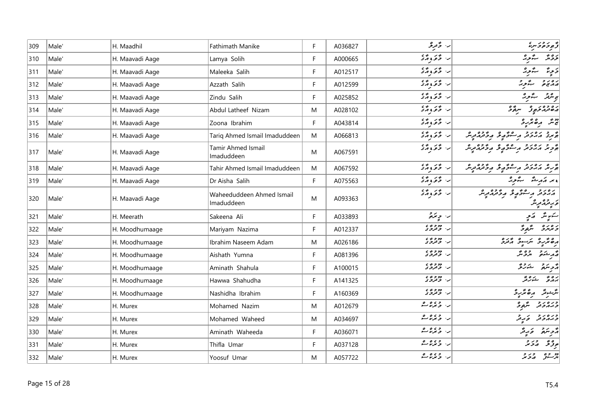| 309 | Male' | H. Maadhil      | Fathimath Manike                        | F         | A036827 | ر. گەرگى                                               | و موجود سره<br>د موجود سره                                                                                                                                                                |
|-----|-------|-----------------|-----------------------------------------|-----------|---------|--------------------------------------------------------|-------------------------------------------------------------------------------------------------------------------------------------------------------------------------------------------|
| 310 | Male' | H. Maavadi Aage | Lamya Solih                             | F.        | A000665 | 51.95.7                                                | سەًور<br>تزویژ                                                                                                                                                                            |
| 311 | Male' | H. Maavadi Aage | Maleeka Salih                           | F         | A012517 | ر. د څو د پره                                          | سەّمەر<br>ىز مەيتى<br>ئ                                                                                                                                                                   |
| 312 | Male' | H. Maavadi Aage | Azzath Salih                            | F         | A012599 | ر گوءِ مُرُ                                            | ر ه ر د<br>مهر می                                                                                                                                                                         |
| 313 | Male' | H. Maavadi Aage | Zindu Salih                             | F         | A025852 | ر. د څو د وگړ                                          | سمع مقرم<br>سِتَورُ                                                                                                                                                                       |
| 314 | Male' | H. Maavadi Aage | Abdul Latheef Nizam                     | M         | A028102 | $\begin{bmatrix} 2 & 2 & 3 \\ 5 & 7 & 8 \end{bmatrix}$ | ره وه د<br>مه هوم څه د<br>سرچوڅ                                                                                                                                                           |
| 315 | Male' | H. Maavadi Aage | Zoona Ibrahim                           | F         | A043814 | ر. د څو د ور                                           |                                                                                                                                                                                           |
| 316 | Male' | H. Maavadi Aage | Tariq Ahmed Ismail Imaduddeen           | ${\sf M}$ | A066813 | $rac{1}{5555}$ $\sim$                                  | ה גיב המכנק השיכתיב הכנה וניים                                                                                                                                                            |
| 317 | Male' | H. Maavadi Aage | Tamir Ahmed Ismail<br>Imaduddeen        | ${\sf M}$ | A067591 | ر. د څو د وي                                           | ת כ גם גם תשיכת כ תפינת ת                                                                                                                                                                 |
| 318 | Male' | H. Maavadi Aage | Tahir Ahmed Ismail Imaduddeen           | ${\sf M}$ | A067592 | ر. د څو د ور                                           | و ده ده ده در موده و در در در د                                                                                                                                                           |
| 319 | Male' | H. Maavadi Aage | Dr Aisha Salih                          | F         | A075563 | سن ځونموړنۍ                                            |                                                                                                                                                                                           |
| 320 | Male' | H. Maavadi Aage | Waheeduddeen Ahmed Ismail<br>Imaduddeen | ${\sf M}$ | A093363 | ر. د څو د ور                                           |                                                                                                                                                                                           |
| 321 | Male' | H. Meerath      | Sakeena Ali                             | F         | A033893 | ر و بره                                                | سنيا شر مذمي                                                                                                                                                                              |
| 322 | Male' | H. Moodhumaage  | Mariyam Nazima                          | F         | A012337 | د . وو و پر<br>ر . گرگری                               | و وړه په په                                                                                                                                                                               |
| 323 | Male' | H. Moodhumaage  | Ibrahim Naseem Adam                     | ${\sf M}$ | A026186 | ر . وو و پر<br>ر . و ترو ی                             | أرە ئۆر ئىسو مەرد                                                                                                                                                                         |
| 324 | Male' | H. Moodhumaage  | Aishath Yumna                           | F         | A081396 | د ووه ده د<br>ر۰ و ترو د                               | $\begin{array}{cc} \bullet & \bullet & \bullet & \bullet & \bullet \\ \circ & \circ & \circ & \bullet & \bullet & \bullet \\ \circ & \circ & \circ & \circ & \circ & \bullet \end{array}$ |
| 325 | Male' | H. Moodhumaage  | Aminath Shahula                         | F         | A100015 | ر. دوه بر<br>ر. و ترو د                                | أأزجر سكرة فسأرقح                                                                                                                                                                         |
| 326 | Male' | H. Moodhumaage  | Hawwa Shahudha                          | F         | A141325 | د ووه پر<br>ر۰ و ترو پ                                 | رە ئەرەپ <sub>ى</sub>                                                                                                                                                                     |
| 327 | Male' | H. Moodhumaage  | Nashidha Ibrahim                        | F         | A160369 | د ووه پر<br>ر۰ و ترو پ                                 | بترجوش وكالتربرة                                                                                                                                                                          |
| 328 | Male' | H. Murex        | Mohamed Nazim                           | M         | A012679 | ر. دېږم ه                                              | و ره ر د<br>د برگرونر<br>سگەرگە                                                                                                                                                           |
| 329 | Male' | H. Murex        | Mohamed Waheed                          | M         | A034697 | ر، دېږه ه                                              | ورەر د<br><i>دى</i> رمەتر<br>ءَ ٻريز                                                                                                                                                      |
| 330 | Male' | H. Murex        | Aminath Waheeda                         | F         | A036071 | ر. دېږه ه                                              | أثرجه تنهجر<br>ءَ پرتگر                                                                                                                                                                   |
| 331 | Male' | H. Murex        | Thifla Umar                             | F         | A037128 | ر. دېږه ه                                              | موثوثر<br>ەرىر                                                                                                                                                                            |
| 332 | Male' | H. Murex        | Yoosuf Umar                             | ${\sf M}$ | A057722 | ر. دېږم ه                                              | מ כם כנב<br>ת—נצ                                                                                                                                                                          |
|     |       |                 |                                         |           |         |                                                        |                                                                                                                                                                                           |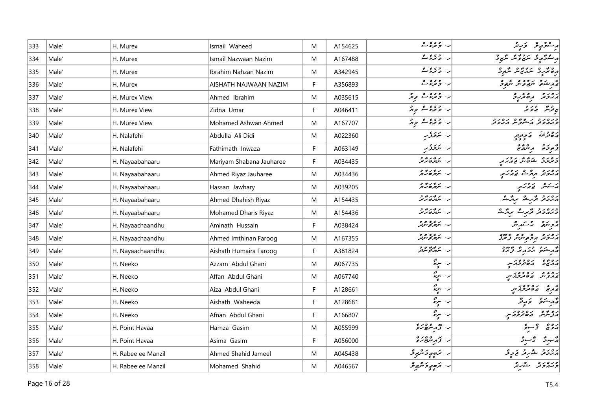| 333 | Male' | H. Murex           | Ismail Waheed            | M           | A154625 | ر، دېږه ه                                         | أر شۇم ئۇ ئار ئى                                                                                     |
|-----|-------|--------------------|--------------------------|-------------|---------|---------------------------------------------------|------------------------------------------------------------------------------------------------------|
| 334 | Male' | H. Murex           | Ismail Nazwaan Nazim     | ${\sf M}$   | A167488 | ر. چې پره ه                                       |                                                                                                      |
| 335 | Male' | H. Murex           | Ibrahim Nahzan Nazim     | M           | A342945 | ر. دېږه ه                                         | رەپرى برەپمىر شرى                                                                                    |
| 336 | Male' | H. Murex           | AISHATH NAJWAAN NAZIM    | F           | A356893 | ر. چې پېړ م                                       | م الله عن الله عن الله عنه الله عنه الله عنه الله عنه الله عنه الله عنه الله عنه الله عنه الله عنه ا |
| 337 | Male' | H. Murex View      | Ahmed Ibrahim            | ${\sf M}$   | A035615 | ر. ویرما شه و پر                                  | גיבנג הפיציב                                                                                         |
| 338 | Male' | H. Murex View      | Zidna Umar               | F           | A046411 | ر. ویرمام و د                                     | بې تر سگر د جر جر                                                                                    |
| 339 | Male' | H. Murex View      | Mohamed Ashwan Ahmed     | ${\sf M}$   | A167707 | ر. ویرما عا واژ                                   | ورەر دېرە دەر دەر دې<br>جەمەدىر مەشورىس مەرجىر                                                       |
| 340 | Male' | H. Nalafehi        | Abdulla Ali Didi         | M           | A022360 | ر، ئىزۇر                                          | رەچەللە سوپىدىر                                                                                      |
| 341 | Male' | H. Nalafehi        | Fathimath Inwaza         | F           | A063149 | ر، سرنزۇپ                                         | وجوده مستقيح                                                                                         |
| 342 | Male' | H. Nayaabahaaru    | Mariyam Shabana Jauharee | F           | A034435 | ر بەردە د<br>ر. سرگەن ئىر                         | رەرە يەھ بەرىر                                                                                       |
| 343 | Male' | H. Nayaabahaaru    | Ahmed Riyaz Jauharee     | M           | A034436 | ر بر در د و<br>ر . سر <del>ت</del> ره <i>ر</i> بر | أزودو بروث قارئتها                                                                                   |
| 344 | Male' | H. Nayaabahaaru    | Hassan Jawhary           | M           | A039205 | ر به دره و                                        | بر سامر برور می                                                                                      |
| 345 | Male' | H. Nayaabahaaru    | Ahmed Dhahish Riyaz      | M           | A154435 | ر برورو و<br>ر. سرگرفت <i>گر</i> نجر              | أرور و تررے برترے                                                                                    |
| 346 | Male' | H. Nayaabahaaru    | Mohamed Dharis Riyaz     | ${\sf M}$   | A154436 | ر. سرپور پور                                      | ورەرو ئرىرے برېژے                                                                                    |
| 347 | Male' | H. Nayaachaandhu   | Aminath Hussain          | F           | A038424 | ر. سَرْ پُرُ تَرْ بَرْ بَرْ                       | أأروبترة فالمستهريش                                                                                  |
| 348 | Male' | H. Nayaachaandhu   | Ahmed Imthinan Faroog    | ${\sf M}$   | A167355 | ر. سَرْبَرُگُوَسْرِيْر                            | ره رو په ده شر و وروه                                                                                |
| 349 | Male' | H. Nayaachaandhu   | Aishath Humaira Faroog   | F           | A381824 | ر. سَرْ پُرُ گُرُ سُرْ بَرْ                       | وأرشني بروريز ومعز                                                                                   |
| 350 | Male' | H. Neeko           | Azzam Abdul Ghani        | M           | A067735 | ر. سرچ                                            | גם כם גם כם גע                                                                                       |
| 351 | Male' | H. Neeko           | Affan Abdul Ghani        | M           | A067740 | ر. سرچ                                            | رە بوھەرە 1950 مېر<br>مەمەكرىس مەھەر بۇ ئېر                                                          |
| 352 | Male' | H. Neeko           | Aiza Abdul Ghani         | F           | A128661 | ر. سرچ                                            | a a coror                                                                                            |
| 353 | Male' | H. Neeko           | Aishath Waheeda          | $\mathsf F$ | A128681 | ر. سرچ                                            | مەر ئىقى ئىلىقى                                                                                      |
| 354 | Male' | H. Neeko           | Afnan Abdul Ghani        | F           | A166807 | ر. سپر                                            | ره می ده دور سر                                                                                      |
| 355 | Male' | H. Point Havaa     | Hamza Gasim              | M           | A055999 | ر. بورس وره                                       | برەپج تخ-دى                                                                                          |
| 356 | Male' | H. Point Havaa     | Asima Gasim              | F           | A056000 | ر. بي مرهوري                                      | أرشبوق تخبوقه                                                                                        |
| 357 | Male' | H. Rabee ee Manzil | Ahmed Shahid Jameel      | M           | A045438 | ر بەھ بەد ئىرى قر                                 | وحدد حديثر فأوفح                                                                                     |
| 358 | Male' | H. Rabee ee Manzil | Mohamed Shahid           | M           | A046567 | ر بەھ يەھ ئىر بو                                  | ورەر دېمبر د<br>ت <i>ربر پروتر</i> مشریر                                                             |
|     |       |                    |                          |             |         |                                                   |                                                                                                      |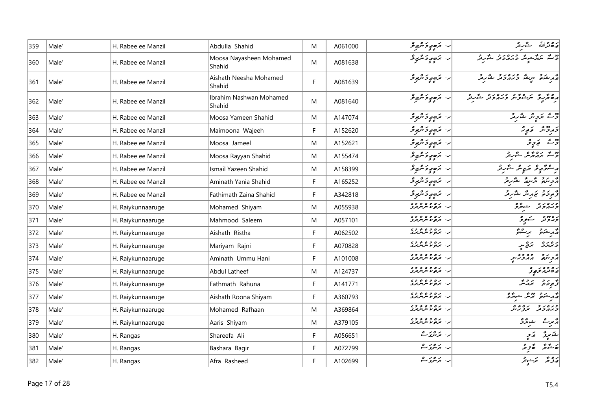| 359 | Male' | H. Rabee ee Manzil | Abdulla Shahid                    | M         | A061000 | ر بە ئەھەر ئەسىر قە                         | أرة مرالله تحرير                      |
|-----|-------|--------------------|-----------------------------------|-----------|---------|---------------------------------------------|---------------------------------------|
| 360 | Male' | H. Rabee ee Manzil | Moosa Nayasheen Mohamed<br>Shahid | M         | A081638 | ر بر پرورځ شوېو                             | وقت الكرمني ورود والمحرور             |
| 361 | Male' | H. Rabee ee Manzil | Aishath Neesha Mohamed<br>Shahid  | F         | A081639 | ر بر پروړو کرمني څه                         | و ديدو سرت وره دو د شرد               |
| 362 | Male' | H. Rabee ee Manzil | Ibrahim Nashwan Mohamed<br>Shahid | ${\sf M}$ | A081640 | ~ ئۇھەرچەمبۇ قە                             | وه مجر و مرت و در و د و د و د کرد     |
| 363 | Male' | H. Rabee ee Manzil | Moosa Yameen Shahid               | M         | A147074 | ر بەھ يەھ ئىر بۇ                            | ا چې ته مر <sub>و</sub> شر مقرر تر    |
| 364 | Male' | H. Rabee ee Manzil | Maimoona Wajeeh                   | F.        | A152620 | ر بەھ بەر ئىسى ئى                           | د دومر د و                            |
| 365 | Male' | H. Rabee ee Manzil | Moosa Jameel                      | M         | A152621 | ر بەھدە ئىبو                                | وژے نے یہ ی                           |
| 366 | Male' | H. Rabee ee Manzil | Moosa Rayyan Shahid               | M         | A155474 | ر بر پرورځ شي و                             | وم دەۋە ئەرتر                         |
| 367 | Male' | H. Rabee ee Manzil | Ismail Yazeen Shahid              | M         | A158399 | ر بەھەر ئەشرى                               | ر جۇڭ ئۇچى ھە ھۇرىگ                   |
| 368 | Male' | H. Rabee ee Manzil | Aminath Yania Shahid              | F         | A165252 | ر بر پروړو شمېر و                           | أأروسهم المستقل المحمد                |
| 369 | Male' | H. Rabee ee Manzil | Fathimath Zaina Shahid            | F         | A342818 | ر بر عرود بر عربو څر                        | و و ده نم به شر شر د                  |
| 370 | Male' | H. Raiykunnaaruge  | Mohamed Shiyam                    | M         | A055938 | ر ده وه و و و و و و<br>ر به هوما میزمین پری | ور ہ ر د<br>تر پر پر در شوہری         |
| 371 | Male' | H. Raiykunnaaruge  | Mahmood Saleem                    | M         | A057101 | ره وه ه د و د<br>ر۰ مرد مرس                 | رەددو سەرە                            |
| 372 | Male' | H. Raiykunnaaruge  | Aishath Ristha                    | F         | A062502 | ره وه ه و و د<br>د ۰ مرد د سرس              | دە ئەدەر مەرق                         |
| 373 | Male' | H. Raiykunnaaruge  | Mariyam Rajni                     | F         | A070828 | ره وه ه و و و<br>ر۰ مرد و ما سرس            | ره ره ره سر                           |
| 374 | Male' | H. Raiykunnaaruge  | Aminath Ummu Hani                 | F         | A101008 | ره وه ه و و د<br>د ۰ مرد د سرس              | أأدبره وووفس                          |
| 375 | Male' | H. Raiykunnaaruge  | Abdul Latheef                     | M         | A124737 | ره وه ه و و د<br>ر۰ مرد د سرس               | ره وه د په و<br>ماه مرم څېو و         |
| 376 | Male' | H. Raiykunnaaruge  | Fathmath Rahuna                   | F         | A141771 | ره وه ه و و د<br>ر۰ مرد د سرس               | و دو بردي                             |
| 377 | Male' | H. Raiykunnaaruge  | Aishath Roona Shiyam              | F.        | A360793 | ره ده وه ده<br>ر۰ مر <i>و م</i> سرس         |                                       |
| 378 | Male' | H. Raiykunnaaruge  | Mohamed Rafhaan                   | M         | A369864 | ره وه ه و و د<br>ر۰ مرد د سرس               | ورەرو رەپەە<br><i>جەم</i> ەدىر برۇرىر |
| 379 | Male' | H. Raiykunnaaruge  | Aaris Shiyam                      | M         | A379105 | ره وه و و و د<br>ر۰ مرد مرس                 | ترسر عبد و عبد الراح                  |
| 380 | Male' | H. Rangas          | Shareefa Ali                      | F.        | A056651 | ر. ئىزىشرى شە                               | شەمرۇ<br>رځمنې                        |
| 381 | Male' | H. Rangas          | Bashara Bagir                     | F.        | A072799 | ر. ئۈشرى مە                                 | ەشتەتر<br>ھ تو مر<br>ص                |
| 382 | Male' | H. Rangas          | Afra Rasheed                      | F         | A102699 | ر. ئىزىشرى شە                               | برە بۇ بۇيدىق                         |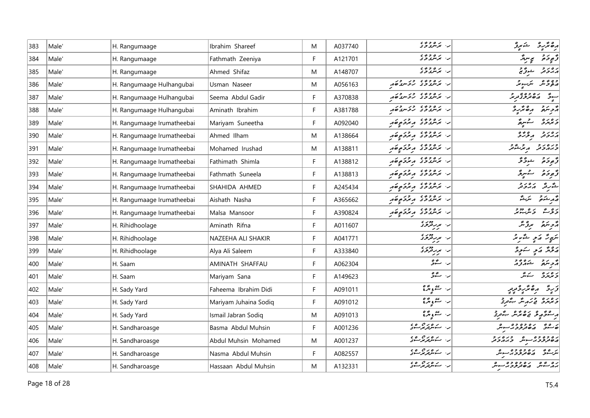| 383 | Male' | H. Rangumaage              | Ibrahim Shareef       | M  | A037740 | ر . بر ۵ و و د<br>ر . بر سرو و ی | ا پرځه تر پرو<br>د<br>ے موثر                            |
|-----|-------|----------------------------|-----------------------|----|---------|----------------------------------|---------------------------------------------------------|
| 384 | Male' | H. Rangumaage              | Fathmath Zeeniya      | F. | A121701 | ر ه ووه ،<br>ر با نیرس پاره      | و په پر د<br>سم سردگر<br>ڪ                              |
| 385 | Male' | H. Rangumaage              | Ahmed Shifaz          | M  | A148707 | ر ه ووه ،<br>ر با نیرس پاره      | بر ه بر د<br>م <i>. ب</i> ر <del>د</del> تر<br>شەۋىم    |
| 386 | Male' | H. Rangumaage Hulhangubai  | Usman Naseer          | M  | A056163 | ر. بر دوه ده ورسود.              | چە ئە مەر<br>مەنبى مىر<br>ىئرسە بر                      |
| 387 | Male' | H. Rangumaage Hulhangubai  | Seema Abdul Gadir     | F  | A370838 | ر. برموده ورسود.                 | ر ٥ ٥ ٥ ٥ ٠<br>پرڪ تريخو توريخ<br>سوځ                   |
| 388 | Male' | H. Rangumaage Hulhangubai  | Aminath Ibrahim       | F  | A381788 | ر. برموده ورسود.                 | أرمز يتمده<br>ەھ ئۈرۈ                                   |
| 389 | Male' | H. Rangumaage Irumatheebai | Mariyam Suneetha      | F  | A092040 |                                  | سەسرى<br>ر ه ر ه<br><del>ر</del> بربر ژ                 |
| 390 | Male' | H. Rangumaage Irumatheebai | Ahmed Ilham           | M  | A138664 |                                  | بروژد<br>پروژو                                          |
| 391 | Male' | H. Rangumaage Irumatheebai | Mohamed Irushad       | M  | A138811 |                                  | و ره ر و<br><i>و پر</i> پر <del>و</del> تر<br>ەر بۇشەگە |
| 392 | Male' | H. Rangumaage Irumatheebai | Fathimath Shimla      | F  | A138812 |                                  | ے وگر<br>و مر د<br>ترموخ م                              |
| 393 | Male' | H. Rangumaage Irumatheebai | Fathmath Suneela      | F  | A138813 |                                  | سەسرىگە<br>ۇ بور د                                      |
| 394 | Male' | H. Rangumaage Irumatheebai | SHAHIDA AHMED         | F  | A245434 |                                  | ەر دەر<br>ستەرىتر                                       |
| 395 | Male' | H. Rangumaage Irumatheebai | Aishath Nasha         | F  | A365662 |                                  | مەر شەم كىرىش                                           |
| 396 | Male' | H. Rangumaage Irumatheebai | Malsa Mansoor         | F  | A390824 | , 00000 000000                   | رە ئەرەپر                                               |
| 397 | Male' | H. Rihidhoolage            | Aminath Rifna         | F  | A011607 |                                  | أأترجع بروتكه                                           |
| 398 | Male' | H. Rihidhoolage            | NAZEEHA ALI SHAKIR    | F  | A041771 |                                  | سَمِيرٌ مَهِ شَرْبِرٌ                                   |
| 399 | Male' | H. Rihidhoolage            | Alya Ali Saleem       | F  | A333840 | ر، بررودی<br>سندر                | ړونه ړې شود                                             |
| 400 | Male' | H. Saam                    | AMINATH SHAFFAU       | F  | A062304 | ر. شۇھ                           | ړ د سره په<br>شەھ بۇ چ                                  |
| 401 | Male' | H. Saam                    | Mariyam Sana          | F  | A149623 | ر. شۇ                            | ر ه ر ه<br><del>د</del> بربرد<br>سەئىر                  |
| 402 | Male' | H. Sady Yard               | Faheema Ibrahim Didi  | F  | A091011 | ر. ڪوپڙو                         | ە ھەترىر 3 توپر<br>ئەھەترىر 3 تە<br>ا تو رِ پیچ<br>ا    |
| 403 | Male' | H. Sady Yard               | Mariyam Juhaina Sodiq | F  | A091012 | ر. ستوپژه<br>م                   | رەرە دېرىش جەدبى                                        |
| 404 | Male' | H. Sady Yard               | Ismail Jabran Sodiq   | M  | A091013 | ر. ڪ <sub>و</sub> پڙه            | ر مەۋرى ئەھ <i>ترىر بەيرى</i>                           |
| 405 | Male' | H. Sandharoasge            | Basma Abdul Muhsin    | F  | A001236 | ر. سەنئەرچەر ق                   | ر وه ده دوه ده به د                                     |
| 406 | Male' | H. Sandharoasge            | Abdul Muhsin Mohamed  | M  | A001237 | ر. سەمەدىرە ھەي                  | נסכסכם הם כנסנכ<br>הסתככה יית כההכת                     |
| 407 | Male' | H. Sandharoasge            | Nasma Abdul Muhsin    | F. | A082557 | ر. کے موثور مرے وی               | ر ەپ رە دە دە دە.<br>سرىسى ھەمەرىرى بەش                 |
| 408 | Male' | H. Sandharoasge            | Hassaan Abdul Muhsin  | M  | A132331 | ر. سەھەرىم ھەم                   | ره مه مه ره ده ده به م                                  |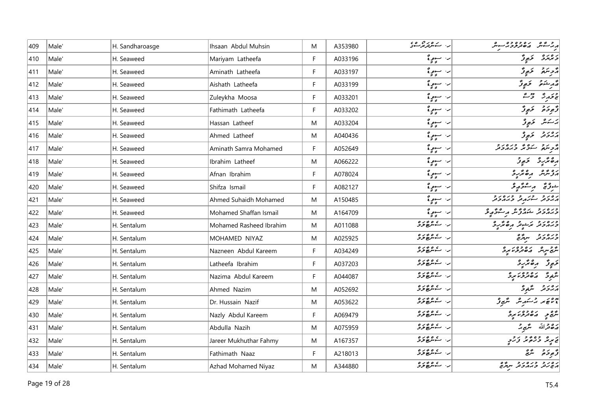| 409 | Male' | H. Sandharoasge | Ihsaan Abdul Muhsin     | M  | A353980 | ر. کے موثور مرے وی             |                                              |
|-----|-------|-----------------|-------------------------|----|---------|--------------------------------|----------------------------------------------|
| 410 | Male' | H. Seaweed      | Mariyam Latheefa        | F  | A033196 | $\frac{1}{2}$<br>$\frac{1}{2}$ | ر ه ر ه<br><del>ر</del> بربرگ<br>ځږوژ        |
| 411 | Male' | H. Seaweed      | Aminath Latheefa        | F. | A033197 | ر. سوءٍ ؟<br>ءَ ۽              | أرمر وسره<br>ځږوگر                           |
| 412 | Male' | H. Seaweed      | Aishath Latheefa        | F. | A033199 | ر. سوءِ ۽                      | ځېږوگړ<br>د مر شو د<br>مرم شو ه              |
| 413 | Male' | H. Seaweed      | Zuleykha Moosa          | F  | A033201 | ر، سوءٍ ۽                      | دومثر<br>چ ئۇ بەر ش                          |
| 414 | Male' | H. Seaweed      | Fathimath Latheefa      | F  | A033202 | ر. سوو ؟<br>پوځ                | وٌوِدَةٌ دَوِرٌ                              |
| 415 | Male' | H. Seaweed      | Hassan Latheef          | M  | A033204 | ر، سوءٍ ۽                      | پرېدىر ئىمب <sub>ى</sub> رى                  |
| 416 | Male' | H. Seaweed      | Ahmed Latheef           | M  | A040436 | ر. سوه ؟<br>په په              | دەر دې توپ                                   |
| 417 | Male' | H. Seaweed      | Aminath Samra Mohamed   | F. | A052649 | ر، سوءِ ۽<br>پ                 | و رو ده و دره د                              |
| 418 | Male' | H. Seaweed      | Ibrahim Latheef         | M  | A066222 | ر. سوءِ ۽                      | رە ئرىر ئىبوز                                |
| 419 | Male' | H. Seaweed      | Afnan Ibrahim           | F. | A078024 | ر. سوءٍ ۽                      | ړو شر سه مه پر د                             |
| 420 | Male' | H. Seaweed      | Shifza Ismail           | F. | A082127 | ر، سوءٍ ۽                      | جرونج برجۇرچ                                 |
| 421 | Male' | H. Seaweed      | Ahmed Suhaidh Mohamed   | M  | A150485 | ر. سوءِ ۽<br>پ                 | ره رو در در دره رو<br>پروتر سنرپرتر وبرپروتر |
| 422 | Male' | H. Seaweed      | Mohamed Shaffan Ismail  | M  | A164709 | ر. سوءِ ۽<br>پ                 | ورەرو بەەۋىر مەمۇرو                          |
| 423 | Male' | H. Sentalum     | Mohamed Rasheed Ibrahim | M  | A011088 | ر. ئەشھۇر                      | ورەر دېرىشوتر مەھەرد                         |
| 424 | Male' | H. Sentalum     | MOHAMED NIYAZ           | M  | A025925 | ر. ڪشھوھ                       | כנים בית הי                                  |
| 425 | Male' | H. Sentalum     | Nazneen Abdul Kareem    | F. | A034249 | ر. سەھ پەرە                    | תבתנות הסיניבטתם                             |
| 426 | Male' | H. Sentalum     | Latheefa Ibrahim        | F  | A037203 | ر. ڪشھوڻ                       | خبورٌ رە ئرىر د                              |
| 427 | Male' | H. Sentalum     | Nazima Abdul Kareem     | F. | A044087 | ر. ڪشھوره                      | مترمزقه<br>ړه وه ره<br>پره تر تر تر تر       |
| 428 | Male' | H. Sentalum     | Ahmed Nazim             | M  | A052692 | ر. ئەشھۇر                      | رەرر شھر                                     |
| 429 | Male' | H. Sentalum     | Dr. Hussain Nazif       | M  | A053622 | ر. ڪيرونوچر                    | بدەر ب <sub>ە</sub> ئەسەر ش <sub>ىر</sub> و  |
| 430 | Male' | H. Sentalum     | Nazly Abdul Kareem      | F  | A069479 | ر. ئەشھۇر                      |                                              |
| 431 | Male' | H. Sentalum     | Abdulla Nazih           | M  | A075959 | ر. ڪشھوڻو                      | صقعرالله<br>سگىيى تر                         |
| 432 | Male' | H. Sentalum     | Jareer Mukhuthar Fahmy  | M  | A167357 | ر. كەشھۇرە                     | لم ير پر او ده و او د د کرد که               |
| 433 | Male' | H. Sentalum     | Fathimath Naaz          | F. | A218013 | ر. ڪشھوڻ                       | وٌجوحو مرَّج                                 |
| 434 | Male' | H. Sentalum     | Azhad Mohamed Niyaz     | M  | A344880 | ر. سەھەبەرە                    | גפני כנסני תואם                              |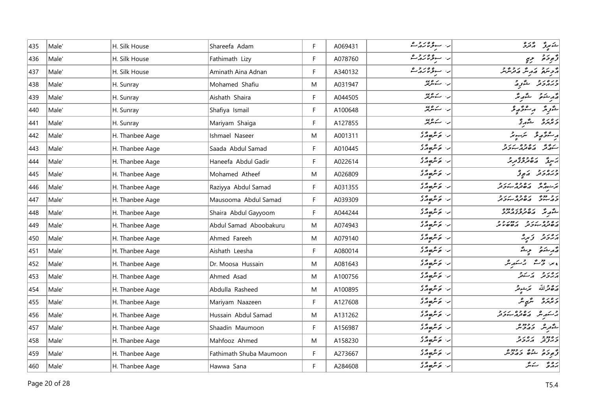| 435 | Male' | H. Silk House   | Shareefa Adam           | F         | A069431 | ر. سەۋرىر ئەر     | شەموق<br>پور ہ<br>مرمرو                              |
|-----|-------|-----------------|-------------------------|-----------|---------|-------------------|------------------------------------------------------|
| 436 | Male' | H. Silk House   | Fathimath Lizy          | F         | A078760 | ر. سەۋرىر ئەر     | قەددە دې                                             |
| 437 | Male' | H. Silk House   | Aminath Aina Adnan      | F         | A340132 | ر. سود ارد ه<br>ر | הכיתה התייל הבתיילית                                 |
| 438 | Male' | H. Sunray       | Mohamed Shafiu          | M         | A031947 | ر. سەھەيچە        | و ر ه ر و<br>د بر پر تر<br>ستگورگر                   |
| 439 | Male' | H. Sunray       | Aishath Shaira          | F         | A044505 | ر. سەھەپىر        | شەھە تىر<br>پ <sup>و</sup> مرشومی<br>مرم             |
| 440 | Male' | H. Sunray       | Shafiya Ismail          | F         | A100648 | ر. سەئىرىمىز      | ەرسىۋەپەتر<br>ڪُوبر                                  |
| 441 | Male' | H. Sunray       | Mariyam Shaiga          | F         | A127855 | ر. ڪيپريو         | ر ه ر ه<br><del>ر</del> بربر د<br>ستگهر تخ           |
| 442 | Male' | H. Thanbee Aage | Ishmael Naseer          | ${\sf M}$ | A001311 | ر. ئۈشھەدى        | أرجوهم متسوفه                                        |
| 443 | Male' | H. Thanbee Aage | Saada Abdul Samad       | F         | A010445 | ر. ئۈشھەدى        | ر ده ده ده وه در د<br>سوړنگر دره تورم سور تر         |
| 444 | Male' | H. Thanbee Aage | Haneefa Abdul Gadir     | F         | A022614 | ر. ئۈشھەدى        | ېزىس ئەھەر ئۇرىر<br>مەس                              |
| 445 | Male' | H. Thanbee Aage | Mohamed Atheef          | M         | A026809 | ر. ئوسھەتدى       | وره دو ده و                                          |
| 446 | Male' | H. Thanbee Aage | Raziyya Abdul Samad     | F         | A031355 | ر. ئۈشھەر         | د ده ده ده در د<br>ترسمبرگر می توان                  |
| 447 | Male' | H. Thanbee Aage | Mausooma Abdul Samad    | F         | A039309 | ر. ئۈشھەر         | נכ מגי נסכם נגב<br><i>ב</i> גי-יכ" גם <i>נגר</i> -יכ |
| 448 | Male' | H. Thanbee Aage | Shaira Abdul Gayyoom    | F         | A044244 | ر. ئۈشھەدى        | شگه مگر صورتر دره<br>شگه مگر های مگر می در در        |
| 449 | Male' | H. Thanbee Aage | Abdul Samad Aboobakuru  | M         | A074943 | ر. ئۈشھەدى        | נסכם נגב נמנכב<br>גםנגה-בכנג גם סיוג                 |
| 450 | Male' | H. Thanbee Aage | Ahmed Fareeh            | ${\sf M}$ | A079140 | ر. ئۈشھەدى        | أرور ويره                                            |
| 451 | Male' | H. Thanbee Aage | Aishath Leesha          | F         | A080014 | ر. ئۈشھەدى        | أمار مشكاة المحمد والمستك                            |
| 452 | Male' | H. Thanbee Aage | Dr. Moosa Hussain       | M         | A081643 | ر. ئۈشھەر         |                                                      |
| 453 | Male' | H. Thanbee Aage | Ahmed Asad              | M         | A100756 | ر. ئۈشھەدى        | رەرد پەرد                                            |
| 454 | Male' | H. Thanbee Aage | Abdulla Rasheed         | M         | A100895 | ر. ئۈشھەدى        | مَرْهُ مَرْاللّه مَرْسُومْر                          |
| 455 | Male' | H. Thanbee Aage | Mariyam Naazeen         | F         | A127608 | ر. ئۈشھەر         | د ورو شهر ش                                          |
| 456 | Male' | H. Thanbee Aage | Hussain Abdul Samad     | M         | A131262 | ر. ئۈشھەدى        | 2 מאו הם 2010 ונקב<br>ג' או הם משינות היו פינג       |
| 457 | Male' | H. Thanbee Aage | Shaadin Maumoon         | F         | A156987 | ر. ئۈشھەر         | شگر در در در در محمد                                 |
| 458 | Male' | H. Thanbee Aage | Mahfooz Ahmed           | ${\sf M}$ | A158230 | ر. ئۈشھەدى        | ر ه دو د بره ر و<br>تر بر تر بر بر بر تر تر          |
| 459 | Male' | H. Thanbee Aage | Fathimath Shuba Maumoon | F         | A273667 | ر. ئۈشھەدى        | تو د ده دوده                                         |
| 460 | Male' | H. Thanbee Aage | Hawwa Sana              | F         | A284608 | ر. ئۈشھەدى        | برە ئەسكە                                            |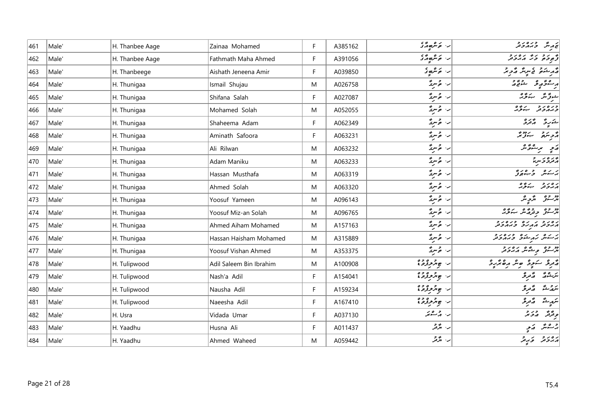| 461 | Male' | H. Thanbee Aage | Zainaa Mohamed          | F         | A385162 | ر. ئۈشھەر                                          | كم شر وره د و                                   |
|-----|-------|-----------------|-------------------------|-----------|---------|----------------------------------------------------|-------------------------------------------------|
| 462 | Male' | H. Thanbee Aage | Fathmath Maha Ahmed     | F         | A391056 |                                                    | و دو رو رو دور                                  |
| 463 | Male' | H. Thanbeege    | Aishath Jeneena Amir    | F         | A039850 | ر. ئۈشھۇ                                           | أو المستحقي في المستحدث المستحدث                |
| 464 | Male' | H. Thunigaa     | Ismail Shujau           | M         | A026758 | ر. قوسرگە                                          | بر شۇ پەيدا ھەم ئە                              |
| 465 | Male' | H. Thunigaa     | Shifana Salah           | F         | A027087 | ر. ۾ سرگ                                           | شوژْنَرْ جُوَّرْ                                |
| 466 | Male' | H. Thunigaa     | Mohamed Solah           | M         | A052055 | ر. قوسیدٌ                                          | ورەر دىرە                                       |
| 467 | Male' | H. Thunigaa     | Shaheema Adam           | F         | A062349 | ر. قوسرگە                                          | شَرِرتْ الْمُ تَرْرَحْ                          |
| 468 | Male' | H. Thunigaa     | Aminath Safoora         | F         | A063231 | ر. قوسرهٔ                                          | أزويتهم بالمزويمر                               |
| 469 | Male' | H. Thunigaa     | Ali Rilwan              | ${\sf M}$ | A063232 | ر. ئۇسرىد                                          | أەيج برخىقىد                                    |
| 470 | Male' | H. Thunigaa     | Adam Maniku             | ${\sf M}$ | A063233 | ر. قرسرگ                                           | و ده د سرد<br>مرود سرد                          |
| 471 | Male' | H. Thunigaa     | Hassan Musthafa         | ${\sf M}$ | A063319 | ر. ئۇسرىد                                          | د ۱۵۷۵.<br>د سرونو<br>ىز سەيىتىر                |
| 472 | Male' | H. Thunigaa     | Ahmed Solah             | M         | A063320 | ر. ۾ سرگه                                          | پر ه پر و<br>  پر پر <del>و</del> تر<br>ىبە ئۇر |
| 473 | Male' | H. Thunigaa     | Yoosuf Yameen           | M         | A096143 | ر. قوسرگە                                          | دو ح <sub>و</sub> ه<br>يژ <sub>حی</sub> شر      |
| 474 | Male' | H. Thunigaa     | Yoosuf Miz-an Solah     | M         | A096765 | ر. ۾ سرگ                                           | دو وه و وه ه د پره و                            |
| 475 | Male' | H. Thunigaa     | Ahmed Aiham Mohamed     | M         | A157163 | ر. قوسرگە                                          | גפגב ג גם בגם בב                                |
| 476 | Male' | H. Thunigaa     | Hassan Haisham Mohamed  | M         | A315889 | ر. قوسرچٌ                                          | ر کاهر کار شده و دره د و                        |
| 477 | Male' | H. Thunigaa     | Yoosuf Vishan Ahmed     | M         | A353375 | ر. ۾ سرگ                                           | دو وه<br>در سوتو   پر شوس پر پر و تر            |
| 478 | Male' | H. Tulipwood    | Adil Saleem Bin Ibrahim | M         | A100908 | ر. ج <sup>و</sup> جو و و ه<br>ر. جو <i>گرو و</i> و | ړ تر د سوچه په موسیح کرده                       |
| 479 | Male' | H. Tulipwood    | Nash'a Adil             | F         | A154041 | ر. ج <sup>و</sup> گروه وه<br>ر                     | سرڪوڻز<br>ەر ئەرى                               |
| 480 | Male' | H. Tulipwood    | Nausha Adil             | F         | A159234 | ر. ج <sup>و</sup> جو بو و ه<br>مر                  | سرچريځه<br>ەر ئەربى                             |
| 481 | Male' | H. Tulipwood    | Naeesha Adil            | F         | A167410 | ر. ج <sup>و</sup> جو بو و ه<br>مر                  | سَمدٍ پُنَہُ<br>ەگەمەمى                         |
| 482 | Male' | H. Usra         | Vidada Umar             | F         | A037130 | ر. رحمته تر                                        | وترتر المردار                                   |
| 483 | Male' | H. Yaadhu       | Husna Ali               | F         | A011437 | ر. بۇقر                                            | ا پر شهر اور پر پارلی<br>ایرانستر اور پر        |
| 484 | Male' | H. Yaadhu       | Ahmed Waheed            | ${\sf M}$ | A059442 | ر. بۇ تە                                           | أرور و ورقر                                     |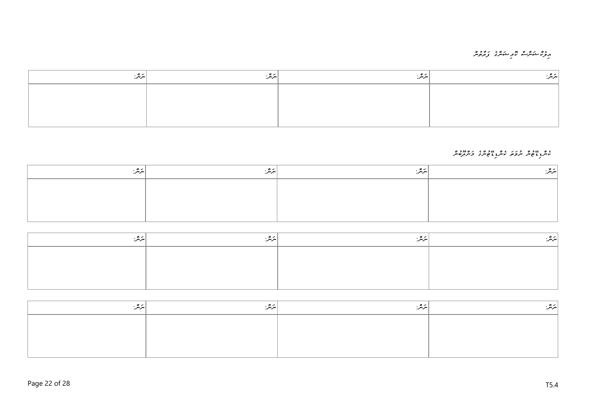## *w7qAn8m? sCw7mRo>u; wEw7mRw;sBo<*

| ' مرمر | 'يئرىثر: |
|--------|----------|
|        |          |
|        |          |
|        |          |

## *w7q9r@w7m> sCw7qHtFoFw7s; mAm=q7 w7qHtFoFw7s;*

| ىر تە | $\mathcal{O} \times$<br>$\sim$ | $\sim$<br>. . | لترنثر |
|-------|--------------------------------|---------------|--------|
|       |                                |               |        |
|       |                                |               |        |
|       |                                |               |        |

| انترنثر: | $^{\circ}$ | يبرهر | $^{\circ}$<br>سرسر |
|----------|------------|-------|--------------------|
|          |            |       |                    |
|          |            |       |                    |
|          |            |       |                    |

| ىرتىر: | 。<br>سر سر | .,<br>مرسر |
|--------|------------|------------|
|        |            |            |
|        |            |            |
|        |            |            |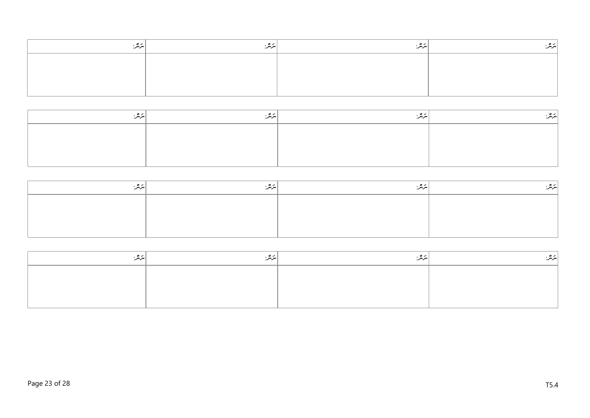| يزهر | $^{\circ}$ | ىئرىتر: |  |
|------|------------|---------|--|
|      |            |         |  |
|      |            |         |  |
|      |            |         |  |

| متريثر به | 。<br>'سرسر'۔ | يتزيترا | سرسر |
|-----------|--------------|---------|------|
|           |              |         |      |
|           |              |         |      |
|           |              |         |      |

| ىئرىتر. | $\sim$ | ا بر هه. | لىرىش |
|---------|--------|----------|-------|
|         |        |          |       |
|         |        |          |       |
|         |        |          |       |

| 。<br>مرس. | $\overline{\phantom{a}}$<br>مر سر | يتريثر |
|-----------|-----------------------------------|--------|
|           |                                   |        |
|           |                                   |        |
|           |                                   |        |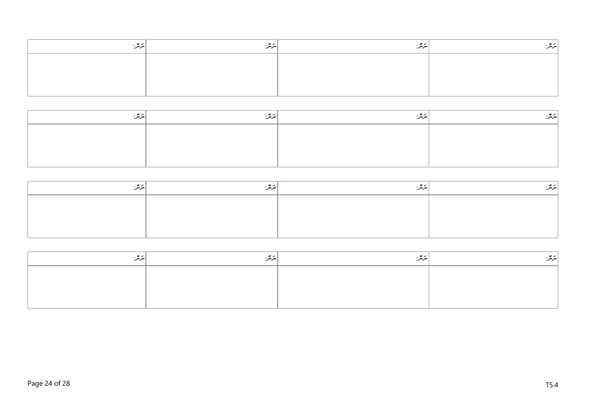| ير هو . | $\overline{\phantom{a}}$ | يرمر | اير هنه. |
|---------|--------------------------|------|----------|
|         |                          |      |          |
|         |                          |      |          |
|         |                          |      |          |

| ىر تىر: | $\circ$ $\sim$<br>" سرسر . | يبرحه | o . |
|---------|----------------------------|-------|-----|
|         |                            |       |     |
|         |                            |       |     |
|         |                            |       |     |

| الترنثر: | ' مرتكز: | الترنثر: | .,<br>سرسر. |
|----------|----------|----------|-------------|
|          |          |          |             |
|          |          |          |             |
|          |          |          |             |

|  | . ه |
|--|-----|
|  |     |
|  |     |
|  |     |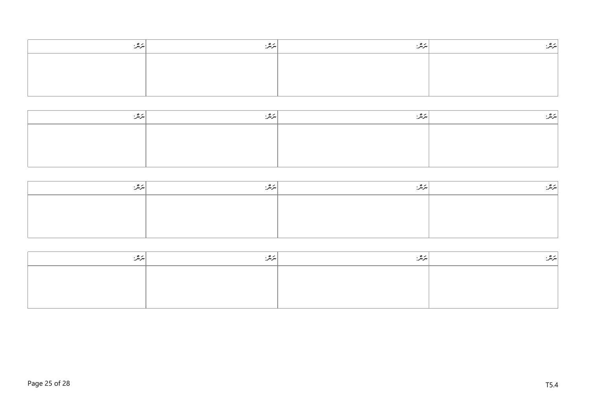| ير هو . | $\overline{\phantom{a}}$ | يرمر | اير هنه. |
|---------|--------------------------|------|----------|
|         |                          |      |          |
|         |                          |      |          |
|         |                          |      |          |

| ىر تىر: | $\circ$ $\sim$<br>" سرسر . | يبرحه | o . |
|---------|----------------------------|-------|-----|
|         |                            |       |     |
|         |                            |       |     |
|         |                            |       |     |

| انترنثر: | ر ه |  |
|----------|-----|--|
|          |     |  |
|          |     |  |
|          |     |  |

|  | . ه |
|--|-----|
|  |     |
|  |     |
|  |     |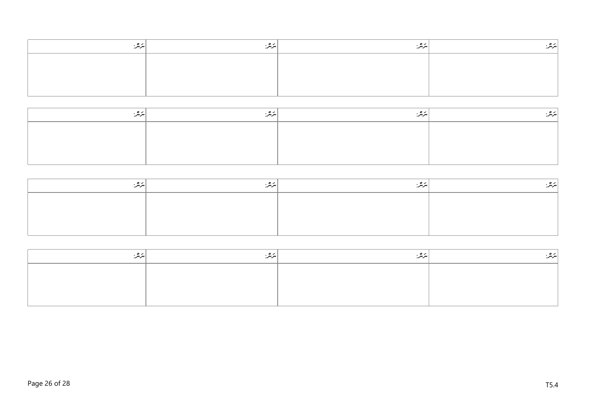| $\cdot$ | ο. | $\frac{\circ}{\cdot}$ | $\sim$<br>سرسر |
|---------|----|-----------------------|----------------|
|         |    |                       |                |
|         |    |                       |                |
|         |    |                       |                |

| ايرعر: | ر ه<br>. . |  |
|--------|------------|--|
|        |            |  |
|        |            |  |
|        |            |  |

| بر ه | 。 | $\sim$<br>َ سومس. |  |
|------|---|-------------------|--|
|      |   |                   |  |
|      |   |                   |  |
|      |   |                   |  |

| 。<br>. س | ىرىىر |  |
|----------|-------|--|
|          |       |  |
|          |       |  |
|          |       |  |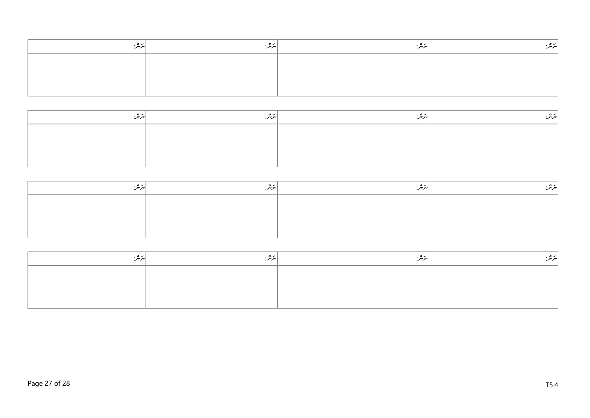| ير هو . | $\overline{\phantom{a}}$ | يرمر | لتزمثن |
|---------|--------------------------|------|--------|
|         |                          |      |        |
|         |                          |      |        |
|         |                          |      |        |

| ىبرىر. | $\sim$<br>ا سرسر . | يئرمثر | o . |
|--------|--------------------|--------|-----|
|        |                    |        |     |
|        |                    |        |     |
|        |                    |        |     |

| لترتكر: | الترنثر: | ابر همه: | الترنثر: |
|---------|----------|----------|----------|
|         |          |          |          |
|         |          |          |          |
|         |          |          |          |

|  | . ه |
|--|-----|
|  |     |
|  |     |
|  |     |